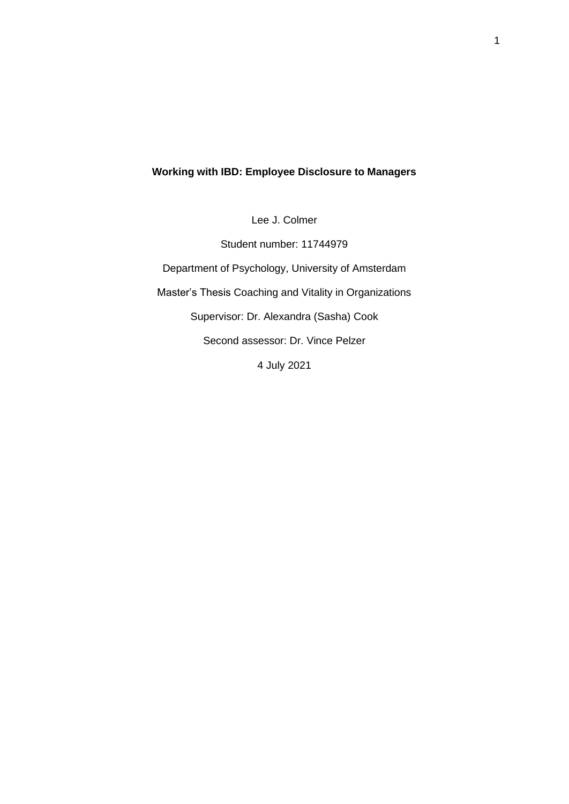## **Working with IBD: Employee Disclosure to Managers**

Lee J. Colmer

Student number: 11744979 Department of Psychology, University of Amsterdam Master's Thesis Coaching and Vitality in Organizations Supervisor: Dr. Alexandra (Sasha) Cook Second assessor: Dr. Vince Pelzer 4 July 2021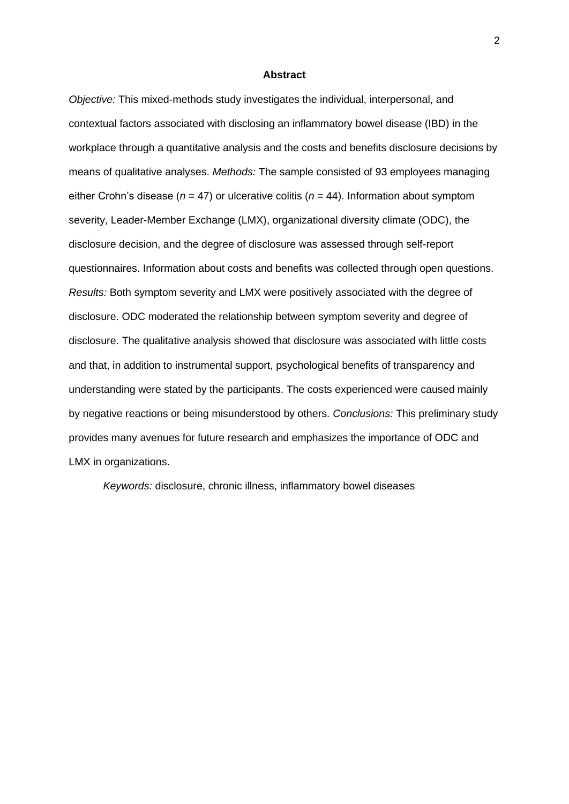#### **Abstract**

*Objective:* This mixed-methods study investigates the individual, interpersonal, and contextual factors associated with disclosing an inflammatory bowel disease (IBD) in the workplace through a quantitative analysis and the costs and benefits disclosure decisions by means of qualitative analyses. *Methods:* The sample consisted of 93 employees managing either Crohn's disease ( $n = 47$ ) or ulcerative colitis ( $n = 44$ ). Information about symptom severity, Leader-Member Exchange (LMX), organizational diversity climate (ODC), the disclosure decision, and the degree of disclosure was assessed through self-report questionnaires. Information about costs and benefits was collected through open questions. *Results:* Both symptom severity and LMX were positively associated with the degree of disclosure. ODC moderated the relationship between symptom severity and degree of disclosure. The qualitative analysis showed that disclosure was associated with little costs and that, in addition to instrumental support, psychological benefits of transparency and understanding were stated by the participants. The costs experienced were caused mainly by negative reactions or being misunderstood by others. *Conclusions:* This preliminary study provides many avenues for future research and emphasizes the importance of ODC and LMX in organizations.

*Keywords:* disclosure, chronic illness, inflammatory bowel diseases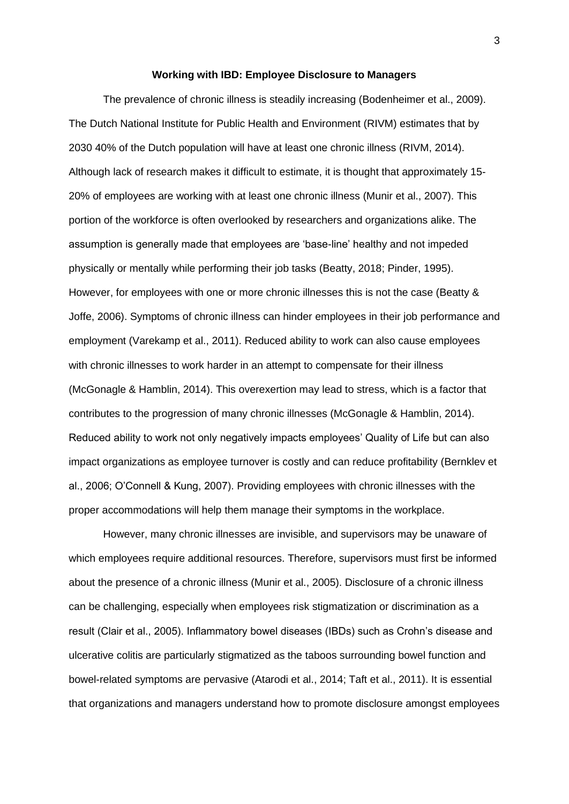#### **Working with IBD: Employee Disclosure to Managers**

The prevalence of chronic illness is steadily increasing (Bodenheimer et al., 2009). The Dutch National Institute for Public Health and Environment (RIVM) estimates that by 2030 40% of the Dutch population will have at least one chronic illness (RIVM, 2014). Although lack of research makes it difficult to estimate, it is thought that approximately 15- 20% of employees are working with at least one chronic illness (Munir et al., 2007). This portion of the workforce is often overlooked by researchers and organizations alike. The assumption is generally made that employees are 'base-line' healthy and not impeded physically or mentally while performing their job tasks (Beatty, 2018; Pinder, 1995). However, for employees with one or more chronic illnesses this is not the case (Beatty & Joffe, 2006). Symptoms of chronic illness can hinder employees in their job performance and employment (Varekamp et al., 2011). Reduced ability to work can also cause employees with chronic illnesses to work harder in an attempt to compensate for their illness (McGonagle & Hamblin, 2014). This overexertion may lead to stress, which is a factor that contributes to the progression of many chronic illnesses (McGonagle & Hamblin, 2014). Reduced ability to work not only negatively impacts employees' Quality of Life but can also impact organizations as employee turnover is costly and can reduce profitability (Bernklev et al., 2006; O'Connell & Kung, 2007). Providing employees with chronic illnesses with the proper accommodations will help them manage their symptoms in the workplace.

However, many chronic illnesses are invisible, and supervisors may be unaware of which employees require additional resources. Therefore, supervisors must first be informed about the presence of a chronic illness (Munir et al., 2005). Disclosure of a chronic illness can be challenging, especially when employees risk stigmatization or discrimination as a result (Clair et al., 2005). Inflammatory bowel diseases (IBDs) such as Crohn's disease and ulcerative colitis are particularly stigmatized as the taboos surrounding bowel function and bowel-related symptoms are pervasive (Atarodi et al., 2014; Taft et al., 2011). It is essential that organizations and managers understand how to promote disclosure amongst employees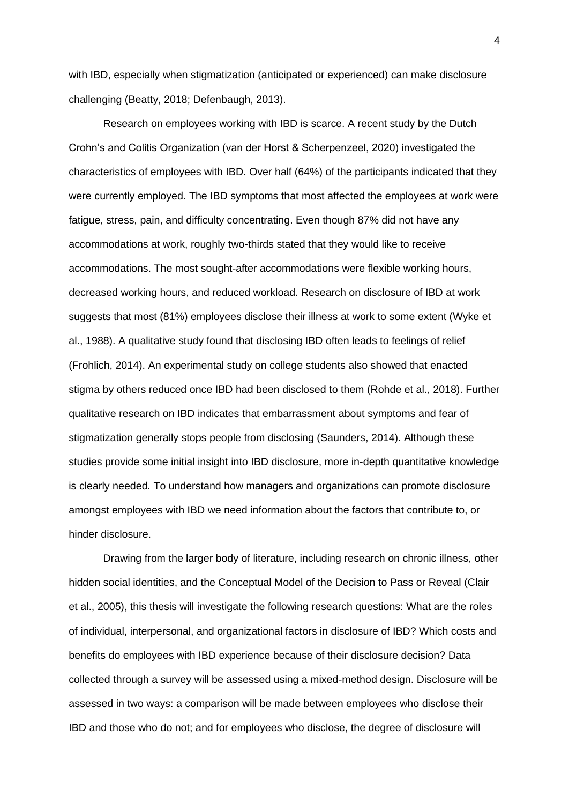with IBD, especially when stigmatization (anticipated or experienced) can make disclosure challenging (Beatty, 2018; Defenbaugh, 2013).

Research on employees working with IBD is scarce. A recent study by the Dutch Crohn's and Colitis Organization (van der Horst & Scherpenzeel, 2020) investigated the characteristics of employees with IBD. Over half (64%) of the participants indicated that they were currently employed. The IBD symptoms that most affected the employees at work were fatigue, stress, pain, and difficulty concentrating. Even though 87% did not have any accommodations at work, roughly two-thirds stated that they would like to receive accommodations. The most sought-after accommodations were flexible working hours, decreased working hours, and reduced workload. Research on disclosure of IBD at work suggests that most (81%) employees disclose their illness at work to some extent (Wyke et al., 1988). A qualitative study found that disclosing IBD often leads to feelings of relief (Frohlich, 2014). An experimental study on college students also showed that enacted stigma by others reduced once IBD had been disclosed to them (Rohde et al., 2018). Further qualitative research on IBD indicates that embarrassment about symptoms and fear of stigmatization generally stops people from disclosing (Saunders, 2014). Although these studies provide some initial insight into IBD disclosure, more in-depth quantitative knowledge is clearly needed. To understand how managers and organizations can promote disclosure amongst employees with IBD we need information about the factors that contribute to, or hinder disclosure.

Drawing from the larger body of literature, including research on chronic illness, other hidden social identities, and the Conceptual Model of the Decision to Pass or Reveal (Clair et al., 2005), this thesis will investigate the following research questions: What are the roles of individual, interpersonal, and organizational factors in disclosure of IBD? Which costs and benefits do employees with IBD experience because of their disclosure decision? Data collected through a survey will be assessed using a mixed-method design. Disclosure will be assessed in two ways: a comparison will be made between employees who disclose their IBD and those who do not; and for employees who disclose, the degree of disclosure will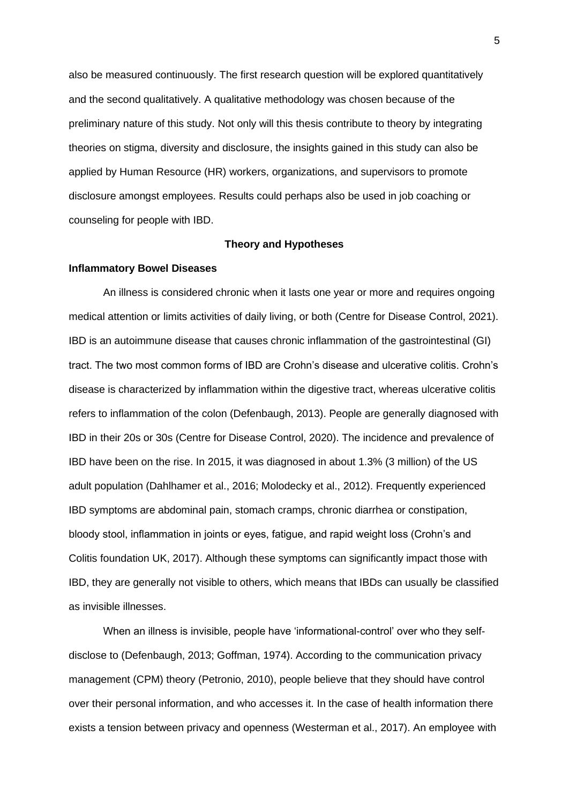also be measured continuously. The first research question will be explored quantitatively and the second qualitatively. A qualitative methodology was chosen because of the preliminary nature of this study. Not only will this thesis contribute to theory by integrating theories on stigma, diversity and disclosure, the insights gained in this study can also be applied by Human Resource (HR) workers, organizations, and supervisors to promote disclosure amongst employees. Results could perhaps also be used in job coaching or counseling for people with IBD.

#### **Theory and Hypotheses**

### **Inflammatory Bowel Diseases**

An illness is considered chronic when it lasts one year or more and requires ongoing medical attention or limits activities of daily living, or both (Centre for Disease Control, 2021). IBD is an autoimmune disease that causes chronic inflammation of the gastrointestinal (GI) tract. The two most common forms of IBD are Crohn's disease and ulcerative colitis. Crohn's disease is characterized by inflammation within the digestive tract, whereas ulcerative colitis refers to inflammation of the colon (Defenbaugh, 2013). People are generally diagnosed with IBD in their 20s or 30s (Centre for Disease Control, 2020). The incidence and prevalence of IBD have been on the rise. In 2015, it was diagnosed in about 1.3% (3 million) of the US adult population (Dahlhamer et al., 2016; Molodecky et al., 2012). Frequently experienced IBD symptoms are abdominal pain, stomach cramps, chronic diarrhea or constipation, bloody stool, inflammation in joints or eyes, fatigue, and rapid weight loss (Crohn's and Colitis foundation UK, 2017). Although these symptoms can significantly impact those with IBD, they are generally not visible to others, which means that IBDs can usually be classified as invisible illnesses.

When an illness is invisible, people have 'informational-control' over who they selfdisclose to (Defenbaugh, 2013; Goffman, 1974). According to the communication privacy management (CPM) theory (Petronio, 2010), people believe that they should have control over their personal information, and who accesses it. In the case of health information there exists a tension between privacy and openness (Westerman et al., 2017). An employee with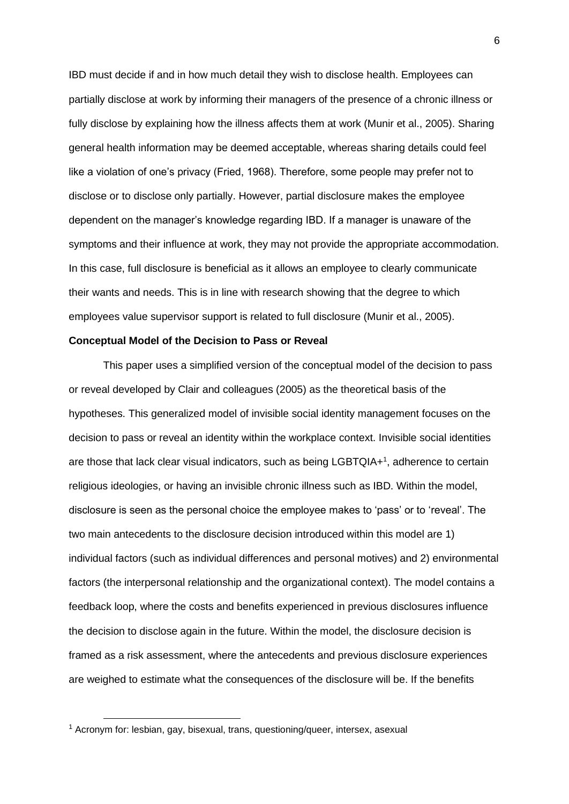IBD must decide if and in how much detail they wish to disclose health. Employees can partially disclose at work by informing their managers of the presence of a chronic illness or fully disclose by explaining how the illness affects them at work (Munir et al., 2005). Sharing general health information may be deemed acceptable, whereas sharing details could feel like a violation of one's privacy (Fried, 1968). Therefore, some people may prefer not to disclose or to disclose only partially. However, partial disclosure makes the employee dependent on the manager's knowledge regarding IBD. If a manager is unaware of the symptoms and their influence at work, they may not provide the appropriate accommodation. In this case, full disclosure is beneficial as it allows an employee to clearly communicate their wants and needs. This is in line with research showing that the degree to which employees value supervisor support is related to full disclosure (Munir et al., 2005).

#### **Conceptual Model of the Decision to Pass or Reveal**

This paper uses a simplified version of the conceptual model of the decision to pass or reveal developed by Clair and colleagues (2005) as the theoretical basis of the hypotheses. This generalized model of invisible social identity management focuses on the decision to pass or reveal an identity within the workplace context. Invisible social identities are those that lack clear visual indicators, such as being LGBTQIA+<sup>1</sup>, adherence to certain religious ideologies, or having an invisible chronic illness such as IBD. Within the model, disclosure is seen as the personal choice the employee makes to 'pass' or to 'reveal'. The two main antecedents to the disclosure decision introduced within this model are 1) individual factors (such as individual differences and personal motives) and 2) environmental factors (the interpersonal relationship and the organizational context). The model contains a feedback loop, where the costs and benefits experienced in previous disclosures influence the decision to disclose again in the future. Within the model, the disclosure decision is framed as a risk assessment, where the antecedents and previous disclosure experiences are weighed to estimate what the consequences of the disclosure will be. If the benefits

<sup>&</sup>lt;sup>1</sup> Acronym for: lesbian, gay, bisexual, trans, questioning/queer, intersex, asexual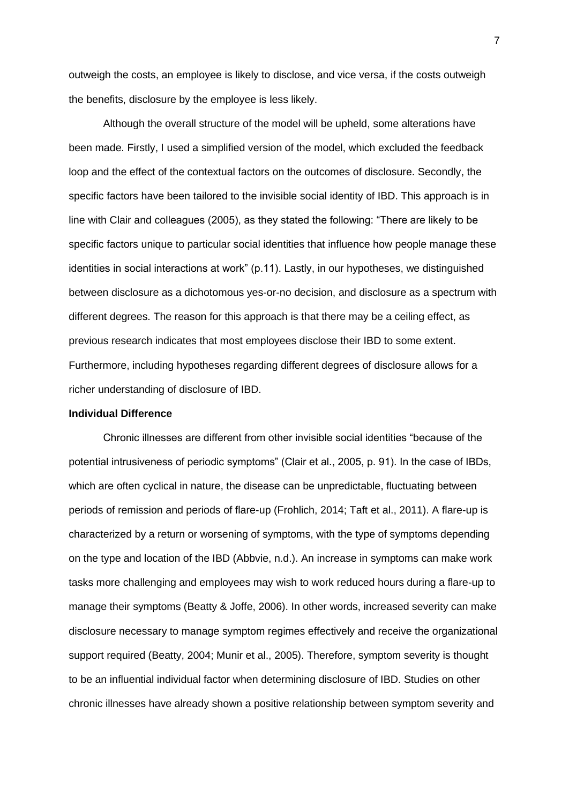outweigh the costs, an employee is likely to disclose, and vice versa, if the costs outweigh the benefits, disclosure by the employee is less likely.

Although the overall structure of the model will be upheld, some alterations have been made. Firstly, I used a simplified version of the model, which excluded the feedback loop and the effect of the contextual factors on the outcomes of disclosure. Secondly, the specific factors have been tailored to the invisible social identity of IBD. This approach is in line with Clair and colleagues (2005), as they stated the following: "There are likely to be specific factors unique to particular social identities that influence how people manage these identities in social interactions at work" (p.11). Lastly, in our hypotheses, we distinguished between disclosure as a dichotomous yes-or-no decision, and disclosure as a spectrum with different degrees. The reason for this approach is that there may be a ceiling effect, as previous research indicates that most employees disclose their IBD to some extent. Furthermore, including hypotheses regarding different degrees of disclosure allows for a richer understanding of disclosure of IBD.

## **Individual Difference**

Chronic illnesses are different from other invisible social identities "because of the potential intrusiveness of periodic symptoms" (Clair et al., 2005, p. 91). In the case of IBDs, which are often cyclical in nature, the disease can be unpredictable, fluctuating between periods of remission and periods of flare-up (Frohlich, 2014; Taft et al., 2011). A flare-up is characterized by a return or worsening of symptoms, with the type of symptoms depending on the type and location of the IBD (Abbvie, n.d.). An increase in symptoms can make work tasks more challenging and employees may wish to work reduced hours during a flare-up to manage their symptoms (Beatty & Joffe, 2006). In other words, increased severity can make disclosure necessary to manage symptom regimes effectively and receive the organizational support required (Beatty, 2004; Munir et al., 2005). Therefore, symptom severity is thought to be an influential individual factor when determining disclosure of IBD. Studies on other chronic illnesses have already shown a positive relationship between symptom severity and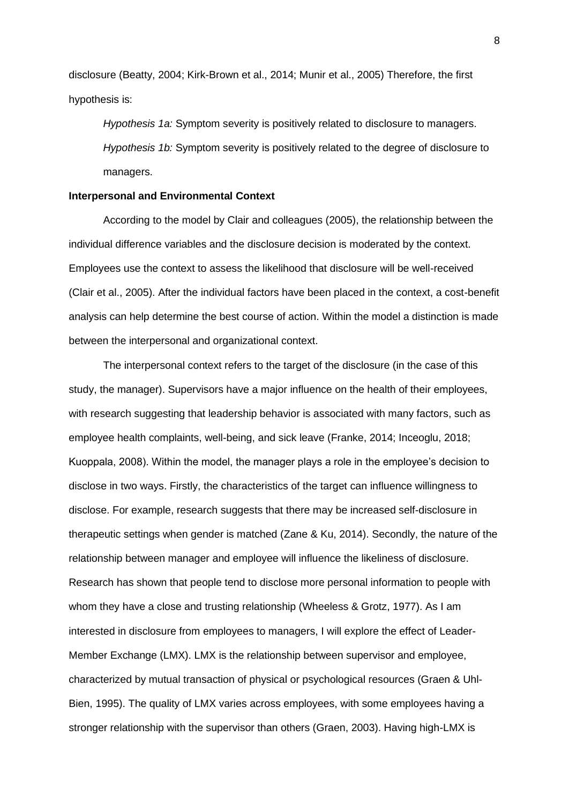disclosure (Beatty, 2004; Kirk-Brown et al., 2014; Munir et al., 2005) Therefore, the first hypothesis is:

*Hypothesis 1a:* Symptom severity is positively related to disclosure to managers. *Hypothesis 1b:* Symptom severity is positively related to the degree of disclosure to managers.

#### **Interpersonal and Environmental Context**

According to the model by Clair and colleagues (2005), the relationship between the individual difference variables and the disclosure decision is moderated by the context. Employees use the context to assess the likelihood that disclosure will be well-received (Clair et al., 2005). After the individual factors have been placed in the context, a cost-benefit analysis can help determine the best course of action. Within the model a distinction is made between the interpersonal and organizational context.

The interpersonal context refers to the target of the disclosure (in the case of this study, the manager). Supervisors have a major influence on the health of their employees, with research suggesting that leadership behavior is associated with many factors, such as employee health complaints, well-being, and sick leave (Franke, 2014; Inceoglu, 2018; Kuoppala, 2008). Within the model, the manager plays a role in the employee's decision to disclose in two ways. Firstly, the characteristics of the target can influence willingness to disclose. For example, research suggests that there may be increased self-disclosure in therapeutic settings when gender is matched (Zane & Ku, 2014). Secondly, the nature of the relationship between manager and employee will influence the likeliness of disclosure. Research has shown that people tend to disclose more personal information to people with whom they have a close and trusting relationship (Wheeless & Grotz, 1977). As I am interested in disclosure from employees to managers, I will explore the effect of Leader-Member Exchange (LMX). LMX is the relationship between supervisor and employee, characterized by mutual transaction of physical or psychological resources (Graen & Uhl-Bien, 1995). The quality of LMX varies across employees, with some employees having a stronger relationship with the supervisor than others (Graen, 2003). Having high-LMX is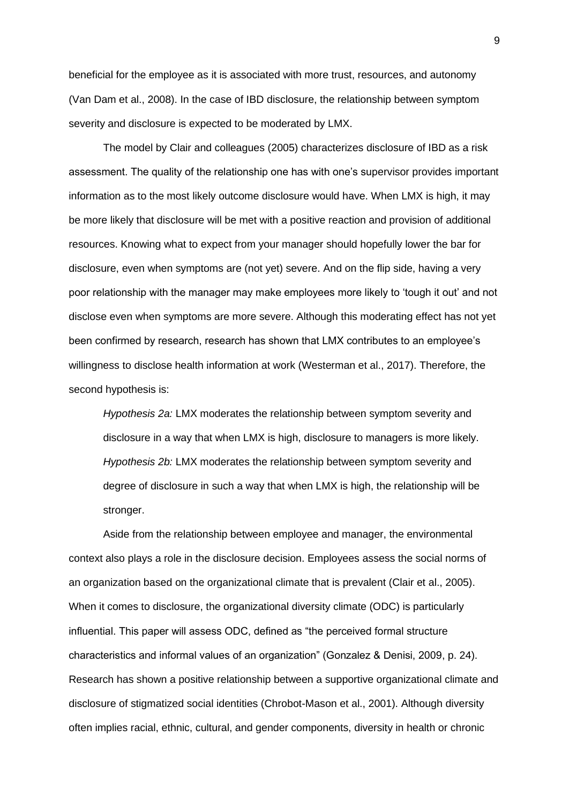beneficial for the employee as it is associated with more trust, resources, and autonomy (Van Dam et al., 2008). In the case of IBD disclosure, the relationship between symptom severity and disclosure is expected to be moderated by LMX.

The model by Clair and colleagues (2005) characterizes disclosure of IBD as a risk assessment. The quality of the relationship one has with one's supervisor provides important information as to the most likely outcome disclosure would have. When LMX is high, it may be more likely that disclosure will be met with a positive reaction and provision of additional resources. Knowing what to expect from your manager should hopefully lower the bar for disclosure, even when symptoms are (not yet) severe. And on the flip side, having a very poor relationship with the manager may make employees more likely to 'tough it out' and not disclose even when symptoms are more severe. Although this moderating effect has not yet been confirmed by research, research has shown that LMX contributes to an employee's willingness to disclose health information at work (Westerman et al., 2017). Therefore, the second hypothesis is:

*Hypothesis 2a:* LMX moderates the relationship between symptom severity and disclosure in a way that when LMX is high, disclosure to managers is more likely. *Hypothesis 2b:* LMX moderates the relationship between symptom severity and degree of disclosure in such a way that when LMX is high, the relationship will be stronger.

Aside from the relationship between employee and manager, the environmental context also plays a role in the disclosure decision. Employees assess the social norms of an organization based on the organizational climate that is prevalent (Clair et al., 2005). When it comes to disclosure, the organizational diversity climate (ODC) is particularly influential. This paper will assess ODC, defined as "the perceived formal structure characteristics and informal values of an organization" (Gonzalez & Denisi, 2009, p. 24). Research has shown a positive relationship between a supportive organizational climate and disclosure of stigmatized social identities (Chrobot-Mason et al., 2001). Although diversity often implies racial, ethnic, cultural, and gender components, diversity in health or chronic

9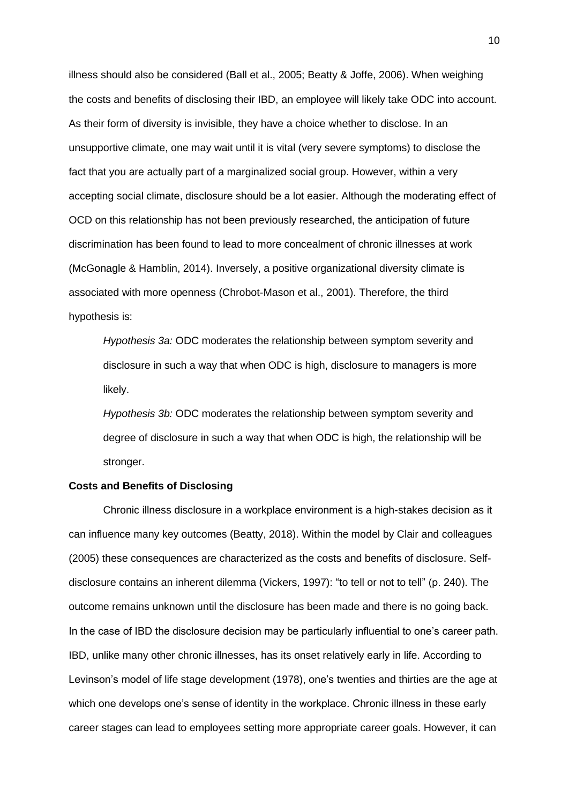illness should also be considered (Ball et al., 2005; Beatty & Joffe, 2006). When weighing the costs and benefits of disclosing their IBD, an employee will likely take ODC into account. As their form of diversity is invisible, they have a choice whether to disclose. In an unsupportive climate, one may wait until it is vital (very severe symptoms) to disclose the fact that you are actually part of a marginalized social group. However, within a very accepting social climate, disclosure should be a lot easier. Although the moderating effect of OCD on this relationship has not been previously researched, the anticipation of future discrimination has been found to lead to more concealment of chronic illnesses at work (McGonagle & Hamblin, 2014). Inversely, a positive organizational diversity climate is associated with more openness (Chrobot-Mason et al., 2001). Therefore, the third hypothesis is:

*Hypothesis 3a:* ODC moderates the relationship between symptom severity and disclosure in such a way that when ODC is high, disclosure to managers is more likely.

*Hypothesis 3b:* ODC moderates the relationship between symptom severity and degree of disclosure in such a way that when ODC is high, the relationship will be stronger.

### **Costs and Benefits of Disclosing**

Chronic illness disclosure in a workplace environment is a high-stakes decision as it can influence many key outcomes (Beatty, 2018). Within the model by Clair and colleagues (2005) these consequences are characterized as the costs and benefits of disclosure. Selfdisclosure contains an inherent dilemma (Vickers, 1997): "to tell or not to tell" (p. 240). The outcome remains unknown until the disclosure has been made and there is no going back. In the case of IBD the disclosure decision may be particularly influential to one's career path. IBD, unlike many other chronic illnesses, has its onset relatively early in life. According to Levinson's model of life stage development (1978), one's twenties and thirties are the age at which one develops one's sense of identity in the workplace. Chronic illness in these early career stages can lead to employees setting more appropriate career goals. However, it can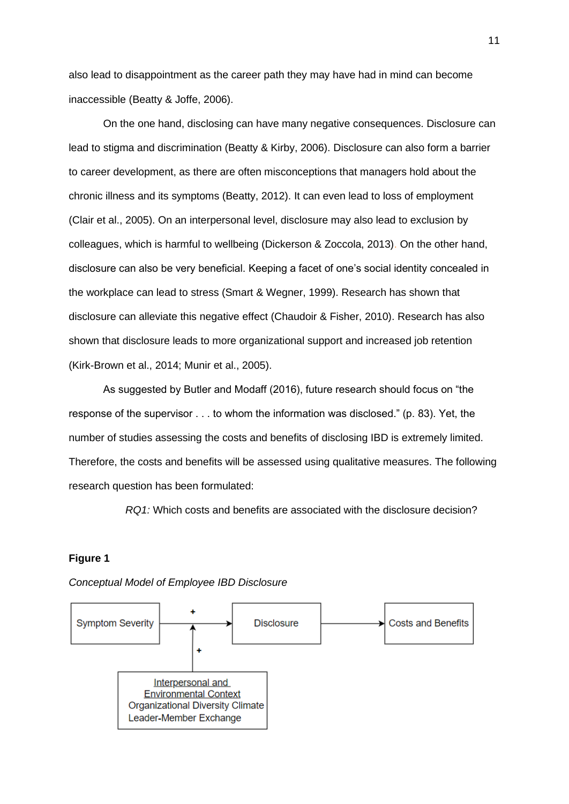also lead to disappointment as the career path they may have had in mind can become inaccessible (Beatty & Joffe, 2006).

On the one hand, disclosing can have many negative consequences. Disclosure can lead to stigma and discrimination (Beatty & Kirby, 2006). Disclosure can also form a barrier to career development, as there are often misconceptions that managers hold about the chronic illness and its symptoms (Beatty, 2012). It can even lead to loss of employment (Clair et al., 2005). On an interpersonal level, disclosure may also lead to exclusion by colleagues, which is harmful to wellbeing (Dickerson & Zoccola, 2013). On the other hand, disclosure can also be very beneficial. Keeping a facet of one's social identity concealed in the workplace can lead to stress (Smart & Wegner, 1999). Research has shown that disclosure can alleviate this negative effect (Chaudoir & Fisher, 2010). Research has also shown that disclosure leads to more organizational support and increased job retention (Kirk-Brown et al., 2014; Munir et al., 2005).

As suggested by Butler and Modaff (2016), future research should focus on "the response of the supervisor . . . to whom the information was disclosed." (p. 83). Yet, the number of studies assessing the costs and benefits of disclosing IBD is extremely limited. Therefore, the costs and benefits will be assessed using qualitative measures. The following research question has been formulated:

*RQ1:* Which costs and benefits are associated with the disclosure decision?

## **Figure 1**



*Conceptual Model of Employee IBD Disclosure*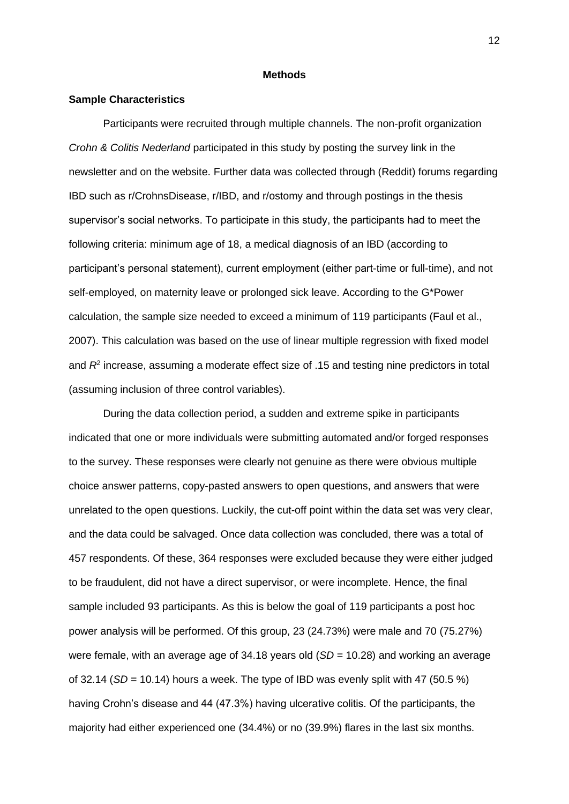#### **Methods**

### **Sample Characteristics**

Participants were recruited through multiple channels. The non-profit organization *Crohn & Colitis Nederland* participated in this study by posting the survey link in the newsletter and on the website. Further data was collected through (Reddit) forums regarding IBD such as r/CrohnsDisease, r/IBD, and r/ostomy and through postings in the thesis supervisor's social networks. To participate in this study, the participants had to meet the following criteria: minimum age of 18, a medical diagnosis of an IBD (according to participant's personal statement), current employment (either part-time or full-time), and not self-employed, on maternity leave or prolonged sick leave. According to the G\*Power calculation, the sample size needed to exceed a minimum of 119 participants (Faul et al., 2007). This calculation was based on the use of linear multiple regression with fixed model and  $R^2$  increase, assuming a moderate effect size of .15 and testing nine predictors in total (assuming inclusion of three control variables).

During the data collection period, a sudden and extreme spike in participants indicated that one or more individuals were submitting automated and/or forged responses to the survey. These responses were clearly not genuine as there were obvious multiple choice answer patterns, copy-pasted answers to open questions, and answers that were unrelated to the open questions. Luckily, the cut-off point within the data set was very clear, and the data could be salvaged. Once data collection was concluded, there was a total of 457 respondents. Of these, 364 responses were excluded because they were either judged to be fraudulent, did not have a direct supervisor, or were incomplete. Hence, the final sample included 93 participants. As this is below the goal of 119 participants a post hoc power analysis will be performed. Of this group, 23 (24.73%) were male and 70 (75.27%) were female, with an average age of 34.18 years old (*SD* = 10.28) and working an average of  $32.14$  (*SD* = 10.14) hours a week. The type of IBD was evenly split with 47 (50.5 %) having Crohn's disease and 44 (47.3%) having ulcerative colitis. Of the participants, the majority had either experienced one (34.4%) or no (39.9%) flares in the last six months.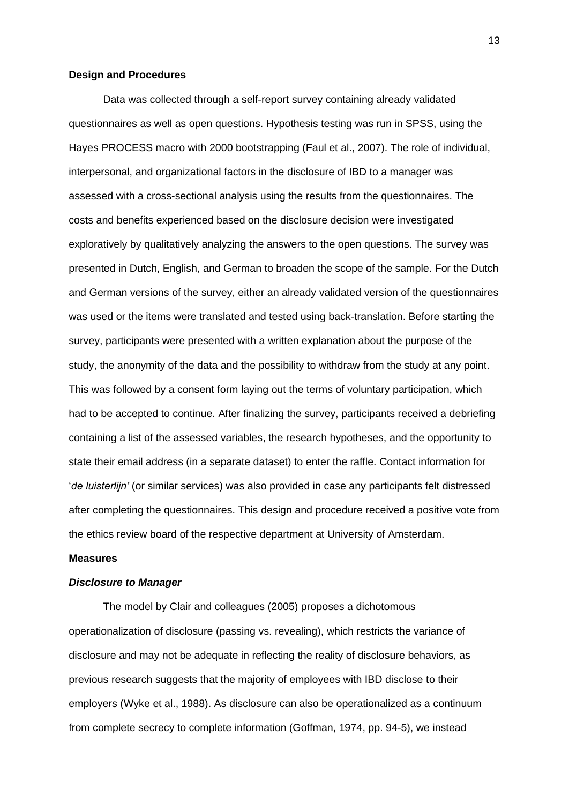#### **Design and Procedures**

Data was collected through a self-report survey containing already validated questionnaires as well as open questions. Hypothesis testing was run in SPSS, using the Hayes PROCESS macro with 2000 bootstrapping (Faul et al., 2007). The role of individual, interpersonal, and organizational factors in the disclosure of IBD to a manager was assessed with a cross-sectional analysis using the results from the questionnaires. The costs and benefits experienced based on the disclosure decision were investigated exploratively by qualitatively analyzing the answers to the open questions. The survey was presented in Dutch, English, and German to broaden the scope of the sample. For the Dutch and German versions of the survey, either an already validated version of the questionnaires was used or the items were translated and tested using back-translation. Before starting the survey, participants were presented with a written explanation about the purpose of the study, the anonymity of the data and the possibility to withdraw from the study at any point. This was followed by a consent form laying out the terms of voluntary participation, which had to be accepted to continue. After finalizing the survey, participants received a debriefing containing a list of the assessed variables, the research hypotheses, and the opportunity to state their email address (in a separate dataset) to enter the raffle. Contact information for '*de luisterlijn'* (or similar services) was also provided in case any participants felt distressed after completing the questionnaires. This design and procedure received a positive vote from the ethics review board of the respective department at University of Amsterdam.

#### **Measures**

## *Disclosure to Manager*

The model by Clair and colleagues (2005) proposes a dichotomous operationalization of disclosure (passing vs. revealing), which restricts the variance of disclosure and may not be adequate in reflecting the reality of disclosure behaviors, as previous research suggests that the majority of employees with IBD disclose to their employers (Wyke et al., 1988). As disclosure can also be operationalized as a continuum from complete secrecy to complete information (Goffman, 1974, pp. 94-5), we instead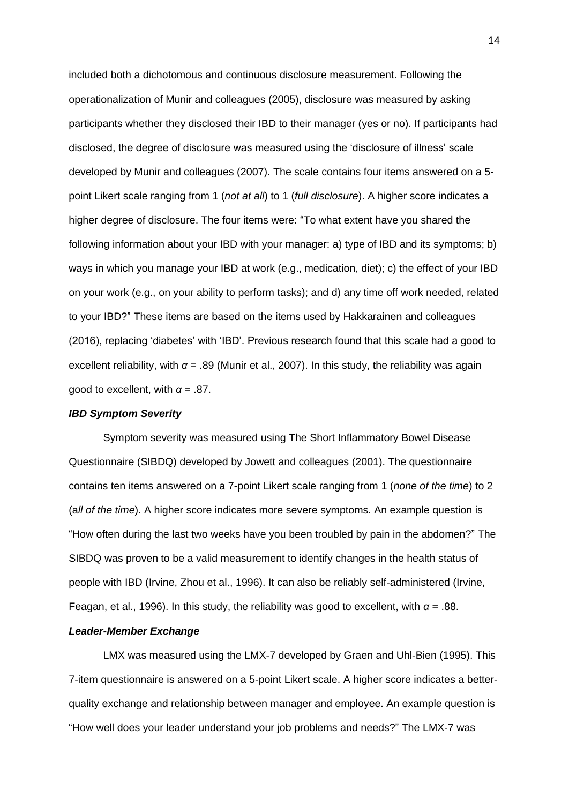included both a dichotomous and continuous disclosure measurement. Following the operationalization of Munir and colleagues (2005), disclosure was measured by asking participants whether they disclosed their IBD to their manager (yes or no). If participants had disclosed, the degree of disclosure was measured using the 'disclosure of illness' scale developed by Munir and colleagues (2007). The scale contains four items answered on a 5 point Likert scale ranging from 1 (*not at all*) to 1 (*full disclosure*). A higher score indicates a higher degree of disclosure. The four items were: "To what extent have you shared the following information about your IBD with your manager: a) type of IBD and its symptoms; b) ways in which you manage your IBD at work (e.g., medication, diet); c) the effect of your IBD on your work (e.g., on your ability to perform tasks); and d) any time off work needed, related to your IBD?" These items are based on the items used by Hakkarainen and colleagues (2016), replacing 'diabetes' with 'IBD'. Previous research found that this scale had a good to excellent reliability, with  $\alpha$  = .89 (Munir et al., 2007). In this study, the reliability was again good to excellent, with  $\alpha = .87$ .

## *IBD Symptom Severity*

Symptom severity was measured using The Short Inflammatory Bowel Disease Questionnaire (SIBDQ) developed by Jowett and colleagues (2001). The questionnaire contains ten items answered on a 7-point Likert scale ranging from 1 (*none of the time*) to 2 (a*ll of the time*). A higher score indicates more severe symptoms. An example question is "How often during the last two weeks have you been troubled by pain in the abdomen?" The SIBDQ was proven to be a valid measurement to identify changes in the health status of people with IBD (Irvine, Zhou et al., 1996). It can also be reliably self-administered (Irvine, Feagan, et al., 1996). In this study, the reliability was good to excellent, with *α* = .88.

#### *Leader-Member Exchange*

LMX was measured using the LMX-7 developed by Graen and Uhl-Bien (1995). This 7-item questionnaire is answered on a 5-point Likert scale. A higher score indicates a betterquality exchange and relationship between manager and employee. An example question is "How well does your leader understand your job problems and needs?" The LMX-7 was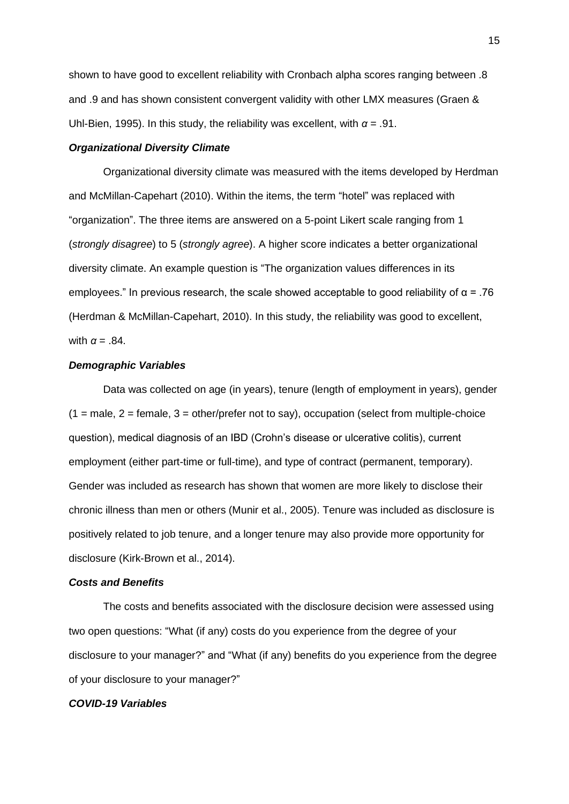shown to have good to excellent reliability with Cronbach alpha scores ranging between .8 and .9 and has shown consistent convergent validity with other LMX measures (Graen & Uhl-Bien, 1995). In this study, the reliability was excellent, with *α* = .91.

#### *Organizational Diversity Climate*

Organizational diversity climate was measured with the items developed by Herdman and McMillan-Capehart (2010). Within the items, the term "hotel" was replaced with "organization". The three items are answered on a 5-point Likert scale ranging from 1 (*strongly disagree*) to 5 (*strongly agree*). A higher score indicates a better organizational diversity climate. An example question is "The organization values differences in its employees." In previous research, the scale showed acceptable to good reliability of  $\alpha = .76$ (Herdman & McMillan-Capehart, 2010). In this study, the reliability was good to excellent, with  $\alpha = .84$ .

#### *Demographic Variables*

Data was collected on age (in years), tenure (length of employment in years), gender  $(1 = male, 2 = female, 3 = other/prefer not to say), occupation (select from multiple-choice)$ question), medical diagnosis of an IBD (Crohn's disease or ulcerative colitis), current employment (either part-time or full-time), and type of contract (permanent, temporary). Gender was included as research has shown that women are more likely to disclose their chronic illness than men or others (Munir et al., 2005). Tenure was included as disclosure is positively related to job tenure, and a longer tenure may also provide more opportunity for disclosure (Kirk-Brown et al., 2014).

## *Costs and Benefits*

The costs and benefits associated with the disclosure decision were assessed using two open questions: "What (if any) costs do you experience from the degree of your disclosure to your manager?" and "What (if any) benefits do you experience from the degree of your disclosure to your manager?"

## *COVID-19 Variables*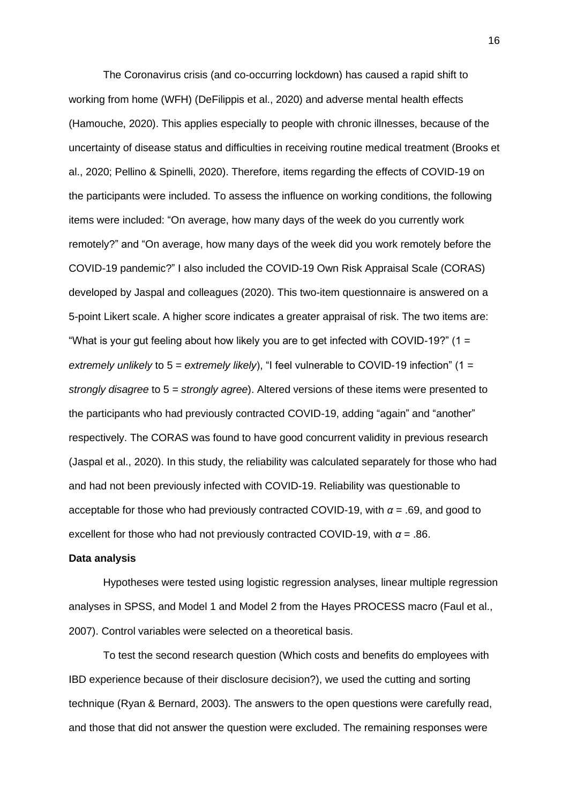The Coronavirus crisis (and co-occurring lockdown) has caused a rapid shift to working from home (WFH) (DeFilippis et al., 2020) and adverse mental health effects (Hamouche, 2020). This applies especially to people with chronic illnesses, because of the uncertainty of disease status and difficulties in receiving routine medical treatment (Brooks et al., 2020; Pellino & Spinelli, 2020). Therefore, items regarding the effects of COVID-19 on the participants were included. To assess the influence on working conditions, the following items were included: "On average, how many days of the week do you currently work remotely?" and "On average, how many days of the week did you work remotely before the COVID-19 pandemic?" I also included the COVID-19 Own Risk Appraisal Scale (CORAS) developed by Jaspal and colleagues (2020). This two-item questionnaire is answered on a 5-point Likert scale. A higher score indicates a greater appraisal of risk. The two items are: "What is your gut feeling about how likely you are to get infected with COVID-19?"  $(1 =$ *extremely unlikely* to 5 = *extremely likely*), "I feel vulnerable to COVID-19 infection" (1 = *strongly disagree* to 5 = *strongly agree*). Altered versions of these items were presented to the participants who had previously contracted COVID-19, adding "again" and "another" respectively. The CORAS was found to have good concurrent validity in previous research (Jaspal et al., 2020). In this study, the reliability was calculated separately for those who had and had not been previously infected with COVID-19. Reliability was questionable to acceptable for those who had previously contracted COVID-19, with *α* = .69, and good to excellent for those who had not previously contracted COVID-19, with *α* = .86.

## **Data analysis**

Hypotheses were tested using logistic regression analyses, linear multiple regression analyses in SPSS, and Model 1 and Model 2 from the Hayes PROCESS macro (Faul et al., 2007). Control variables were selected on a theoretical basis.

To test the second research question (Which costs and benefits do employees with IBD experience because of their disclosure decision?), we used the cutting and sorting technique (Ryan & Bernard, 2003). The answers to the open questions were carefully read, and those that did not answer the question were excluded. The remaining responses were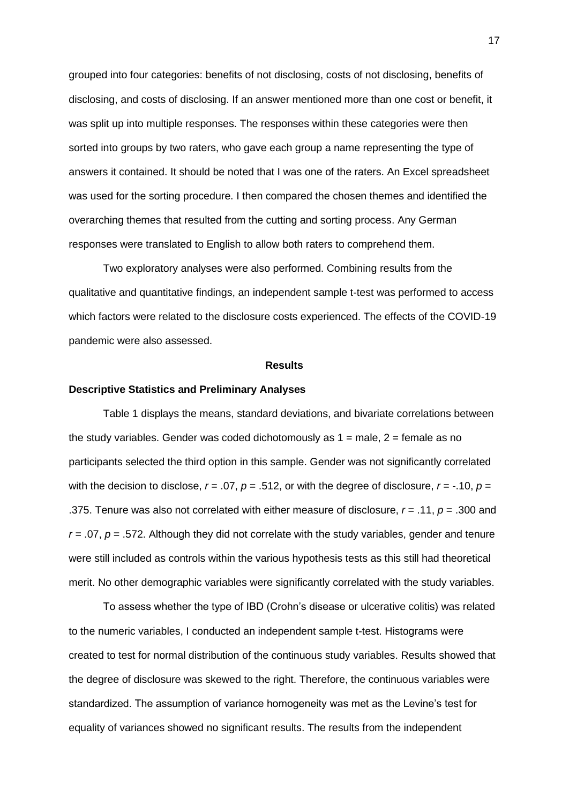grouped into four categories: benefits of not disclosing, costs of not disclosing, benefits of disclosing, and costs of disclosing. If an answer mentioned more than one cost or benefit, it was split up into multiple responses. The responses within these categories were then sorted into groups by two raters, who gave each group a name representing the type of answers it contained. It should be noted that I was one of the raters. An Excel spreadsheet was used for the sorting procedure. I then compared the chosen themes and identified the overarching themes that resulted from the cutting and sorting process. Any German responses were translated to English to allow both raters to comprehend them.

Two exploratory analyses were also performed. Combining results from the qualitative and quantitative findings, an independent sample t-test was performed to access which factors were related to the disclosure costs experienced. The effects of the COVID-19 pandemic were also assessed.

#### **Results**

#### **Descriptive Statistics and Preliminary Analyses**

Table 1 displays the means, standard deviations, and bivariate correlations between the study variables. Gender was coded dichotomously as  $1 =$  male,  $2 =$  female as no participants selected the third option in this sample. Gender was not significantly correlated with the decision to disclose,  $r = .07$ ,  $p = .512$ , or with the degree of disclosure,  $r = -.10$ ,  $p =$ .375. Tenure was also not correlated with either measure of disclosure, *r* = .11, *p* = .300 and  $r = .07$ ,  $p = .572$ . Although they did not correlate with the study variables, gender and tenure were still included as controls within the various hypothesis tests as this still had theoretical merit. No other demographic variables were significantly correlated with the study variables.

To assess whether the type of IBD (Crohn's disease or ulcerative colitis) was related to the numeric variables, I conducted an independent sample t-test. Histograms were created to test for normal distribution of the continuous study variables. Results showed that the degree of disclosure was skewed to the right. Therefore, the continuous variables were standardized. The assumption of variance homogeneity was met as the Levine's test for equality of variances showed no significant results. The results from the independent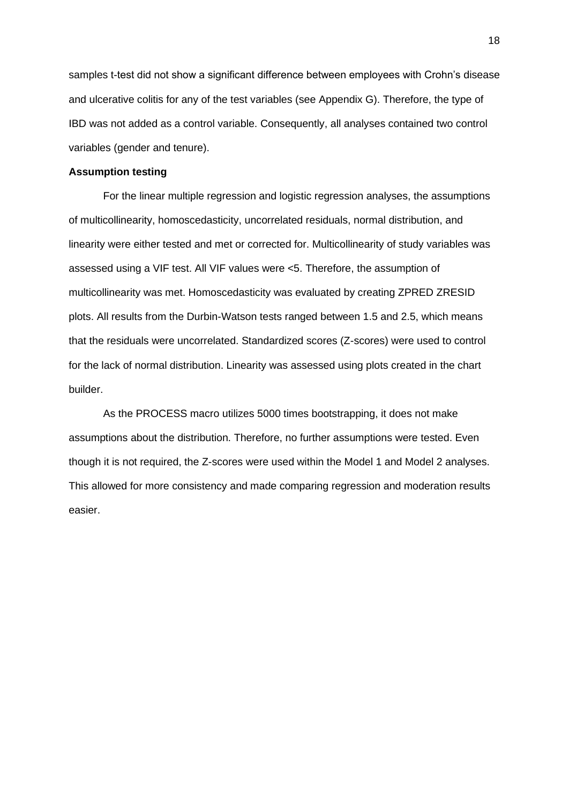samples t-test did not show a significant difference between employees with Crohn's disease and ulcerative colitis for any of the test variables (see Appendix G). Therefore, the type of IBD was not added as a control variable. Consequently, all analyses contained two control variables (gender and tenure).

## **Assumption testing**

For the linear multiple regression and logistic regression analyses, the assumptions of multicollinearity, homoscedasticity, uncorrelated residuals, normal distribution, and linearity were either tested and met or corrected for. Multicollinearity of study variables was assessed using a VIF test. All VIF values were <5. Therefore, the assumption of multicollinearity was met. Homoscedasticity was evaluated by creating ZPRED ZRESID plots. All results from the Durbin-Watson tests ranged between 1.5 and 2.5, which means that the residuals were uncorrelated. Standardized scores (Z-scores) were used to control for the lack of normal distribution. Linearity was assessed using plots created in the chart builder.

As the PROCESS macro utilizes 5000 times bootstrapping, it does not make assumptions about the distribution. Therefore, no further assumptions were tested. Even though it is not required, the Z-scores were used within the Model 1 and Model 2 analyses. This allowed for more consistency and made comparing regression and moderation results easier.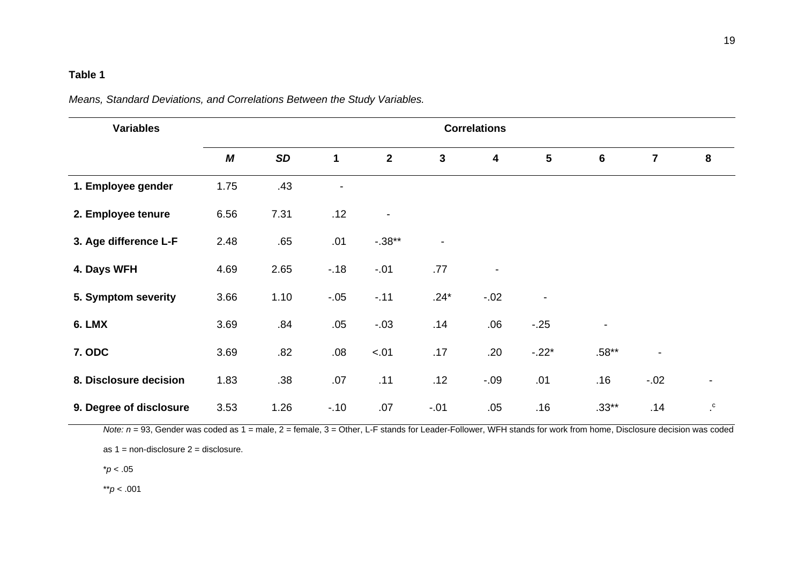## **Table 1**

|  |  | Means, Standard Deviations, and Correlations Between the Study Variables. |
|--|--|---------------------------------------------------------------------------|
|--|--|---------------------------------------------------------------------------|

| <b>Variables</b>        | <b>Correlations</b> |           |                |                |                          |                         |                          |                          |                |                      |
|-------------------------|---------------------|-----------|----------------|----------------|--------------------------|-------------------------|--------------------------|--------------------------|----------------|----------------------|
|                         | M                   | <b>SD</b> | 1              | $\overline{2}$ | $\mathbf{3}$             | $\overline{\mathbf{4}}$ | $5\phantom{.0}$          | 6                        | $\overline{7}$ | 8                    |
| 1. Employee gender      | 1.75                | .43       | $\overline{a}$ |                |                          |                         |                          |                          |                |                      |
| 2. Employee tenure      | 6.56                | 7.31      | .12            |                |                          |                         |                          |                          |                |                      |
| 3. Age difference L-F   | 2.48                | .65       | .01            | $-.38**$       | $\overline{\phantom{a}}$ |                         |                          |                          |                |                      |
| 4. Days WFH             | 4.69                | 2.65      | $-.18$         | $-.01$         | .77                      | $\blacksquare$          |                          |                          |                |                      |
| 5. Symptom severity     | 3.66                | 1.10      | $-.05$         | $-11$          | $.24*$                   | $-.02$                  | $\overline{\phantom{a}}$ |                          |                |                      |
| 6. LMX                  | 3.69                | .84       | .05            | $-.03$         | .14                      | .06                     | $-25$                    | $\overline{\phantom{a}}$ |                |                      |
| <b>7. ODC</b>           | 3.69                | .82       | .08            | $-.01$         | .17                      | .20                     | $-.22*$                  | $.58**$                  |                |                      |
| 8. Disclosure decision  | 1.83                | .38       | .07            | .11            | .12                      | $-0.09$                 | .01                      | .16                      | $-.02$         | $\blacksquare$       |
| 9. Degree of disclosure | 3.53                | 1.26      | $-10$          | .07            | $-.01$                   | .05                     | .16                      | $.33**$                  | .14            | $\cdot^{\mathrm{c}}$ |

*Note:*  $n = 93$ , Gender was coded as 1 = male, 2 = female, 3 = Other, L-F stands for Leader-Follower, WFH stands for work from home, Disclosure decision was coded

as  $1 =$  non-disclosure  $2 =$  disclosure.

\**p* < .05

\*\**p* < .001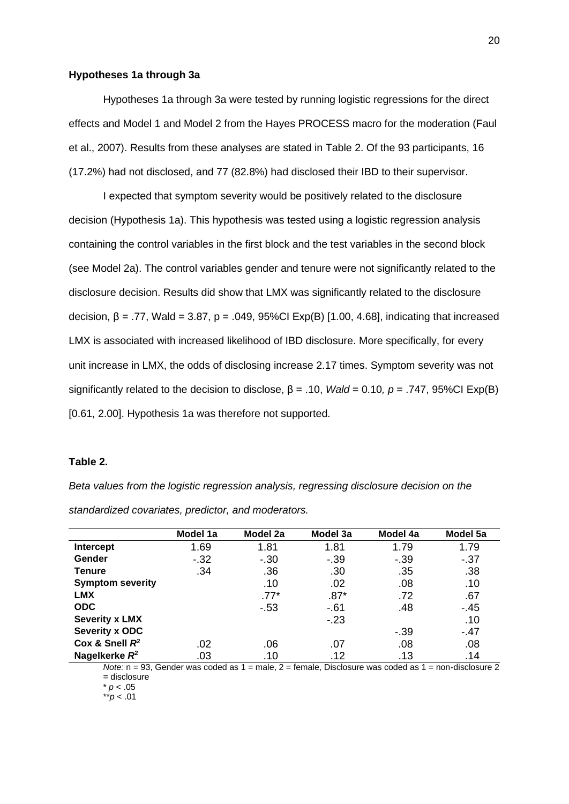#### **Hypotheses 1a through 3a**

Hypotheses 1a through 3a were tested by running logistic regressions for the direct effects and Model 1 and Model 2 from the Hayes PROCESS macro for the moderation (Faul et al., 2007). Results from these analyses are stated in Table 2. Of the 93 participants, 16 (17.2%) had not disclosed, and 77 (82.8%) had disclosed their IBD to their supervisor.

I expected that symptom severity would be positively related to the disclosure decision (Hypothesis 1a). This hypothesis was tested using a logistic regression analysis containing the control variables in the first block and the test variables in the second block (see Model 2a). The control variables gender and tenure were not significantly related to the disclosure decision. Results did show that LMX was significantly related to the disclosure decision,  $β = .77$ , Wald = 3.87,  $p = .049$ , 95%Cl Exp(B) [1.00, 4.68], indicating that increased LMX is associated with increased likelihood of IBD disclosure. More specifically, for every unit increase in LMX, the odds of disclosing increase 2.17 times. Symptom severity was not significantly related to the decision to disclose, β = .10, *Wald* = 0.10*, p* = .747, 95%CI Exp(B) [0.61, 2.00]. Hypothesis 1a was therefore not supported.

## **Table 2.**

*Beta values from the logistic regression analysis, regressing disclosure decision on the standardized covariates, predictor, and moderators.*

|                         | Model 1a | Model 2a | Model 3a | Model 4a | Model 5a |
|-------------------------|----------|----------|----------|----------|----------|
| Intercept               | 1.69     | 1.81     | 1.81     | 1.79     | 1.79     |
| Gender                  | $-32$    | $-30$    | $-39$    | $-39$    | $-37$    |
| Tenure                  | .34      | .36      | .30      | .35      | .38      |
| <b>Symptom severity</b> |          | .10      | .02      | .08      | .10      |
| <b>LMX</b>              |          | $.77*$   | $.87*$   | .72      | .67      |
| <b>ODC</b>              |          | $-53$    | $-61$    | .48      | $-45$    |
| <b>Severity x LMX</b>   |          |          | $-23$    |          | .10      |
| Severity x ODC          |          |          |          | $-39$    | $-47$    |
| Cox & Snell $R^2$       | .02      | .06      | .07      | .08      | .08      |
| Nagelkerke $R^2$        | .03      | .10      | .12      | .13      | .14      |

*Note:* n = 93, Gender was coded as 1 = male, 2 = female, Disclosure was coded as 1 = non-disclosure 2 = disclosure

\* *p* < .05

\*\**p* < .01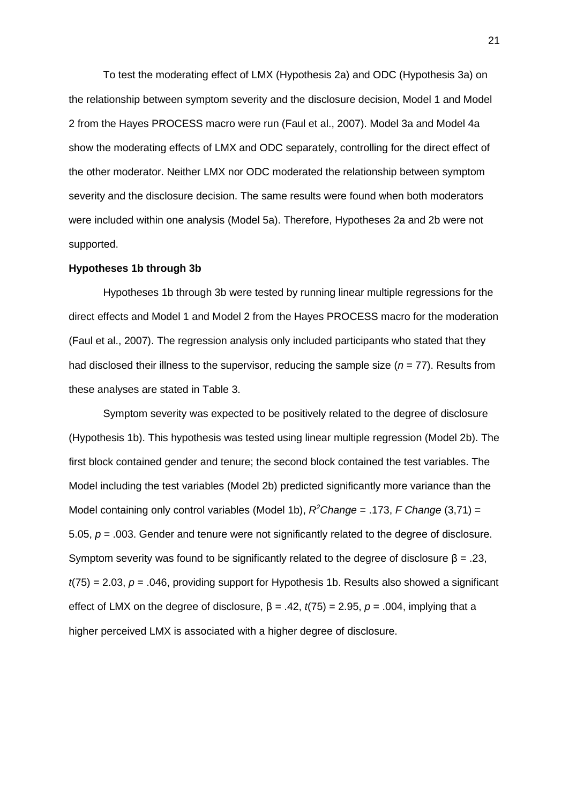To test the moderating effect of LMX (Hypothesis 2a) and ODC (Hypothesis 3a) on the relationship between symptom severity and the disclosure decision, Model 1 and Model 2 from the Hayes PROCESS macro were run (Faul et al., 2007). Model 3a and Model 4a show the moderating effects of LMX and ODC separately, controlling for the direct effect of the other moderator. Neither LMX nor ODC moderated the relationship between symptom severity and the disclosure decision. The same results were found when both moderators were included within one analysis (Model 5a). Therefore, Hypotheses 2a and 2b were not supported.

#### **Hypotheses 1b through 3b**

Hypotheses 1b through 3b were tested by running linear multiple regressions for the direct effects and Model 1 and Model 2 from the Hayes PROCESS macro for the moderation (Faul et al., 2007). The regression analysis only included participants who stated that they had disclosed their illness to the supervisor, reducing the sample size (*n* = 77). Results from these analyses are stated in Table 3.

Symptom severity was expected to be positively related to the degree of disclosure (Hypothesis 1b). This hypothesis was tested using linear multiple regression (Model 2b). The first block contained gender and tenure; the second block contained the test variables. The Model including the test variables (Model 2b) predicted significantly more variance than the Model containing only control variables (Model 1b), *R <sup>2</sup>Change* = .173, *F Change* (3,71) = 5.05, *p* = .003. Gender and tenure were not significantly related to the degree of disclosure. Symptom severity was found to be significantly related to the degree of disclosure  $\beta$  = .23, *t*(75) = 2.03, *p* = .046, providing support for Hypothesis 1b. Results also showed a significant effect of LMX on the degree of disclosure,  $\beta = .42$ ,  $t(75) = 2.95$ ,  $p = .004$ , implying that a higher perceived LMX is associated with a higher degree of disclosure.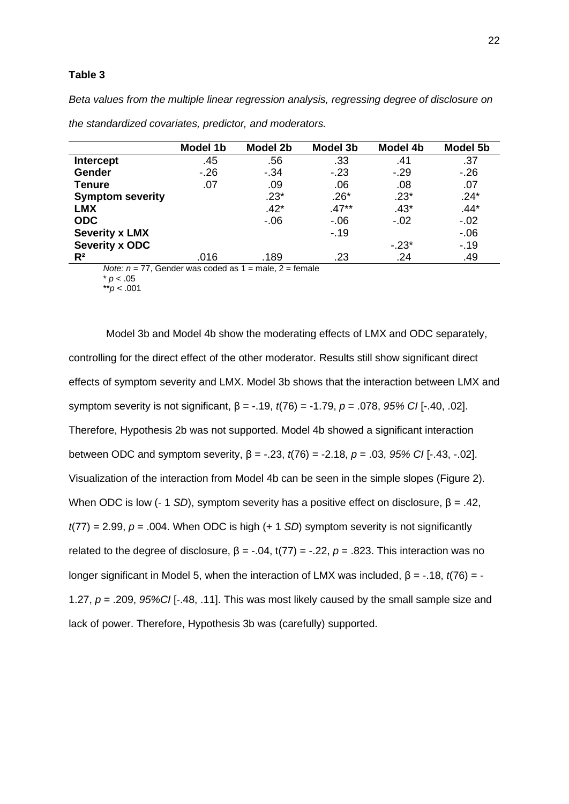## **Table 3**

*Beta values from the multiple linear regression analysis, regressing degree of disclosure on* 

|                         | Model 1b | Model 2b | <b>Model 3b</b> | Model 4b | <b>Model 5b</b> |
|-------------------------|----------|----------|-----------------|----------|-----------------|
| <b>Intercept</b>        | .45      | .56      | .33             | .41      | .37             |
| <b>Gender</b>           | $-26$    | $-34$    | $-23$           | $-29$    | $-26$           |
| <b>Tenure</b>           | .07      | .09      | .06             | .08      | .07             |
| <b>Symptom severity</b> |          | $.23*$   | $.26*$          | $.23*$   | $.24*$          |
| <b>LMX</b>              |          | $.42*$   | $.47**$         | $.43*$   | $.44*$          |
| <b>ODC</b>              |          | $-06$    | $-06$           | $-.02$   | $-.02$          |
| <b>Severity x LMX</b>   |          |          | $-19$           |          | $-0.06$         |
| <b>Severity x ODC</b>   |          |          |                 | $-23*$   | $-.19$          |
| $R^2$                   | .016     | .189     | .23             | .24      | .49             |

*the standardized covariates, predictor, and moderators.*

*Note: n* = 77, Gender was coded as 1 = male, 2 = female

 $* p < .05$ 

\*\**p* < .001

Model 3b and Model 4b show the moderating effects of LMX and ODC separately, controlling for the direct effect of the other moderator. Results still show significant direct effects of symptom severity and LMX. Model 3b shows that the interaction between LMX and symptom severity is not significant, β = -.19, *t*(76) = -1.79, *p* = .078, *95% CI* [-.40, .02]. Therefore, Hypothesis 2b was not supported. Model 4b showed a significant interaction between ODC and symptom severity, β = -.23, *t*(76) = -2.18, *p* = .03, *95% CI* [-.43, -.02]. Visualization of the interaction from Model 4b can be seen in the simple slopes (Figure 2). When ODC is low (- 1 *SD*), symptom severity has a positive effect on disclosure,  $β = .42$ , *t*(77) = 2.99, *p* = .004. When ODC is high (+ 1 *SD*) symptom severity is not significantly related to the degree of disclosure,  $\beta = -0.04$ , t(77) =  $-0.22$ ,  $p = 0.823$ . This interaction was no longer significant in Model 5, when the interaction of LMX was included, β = -.18, *t*(76) = - 1.27, *p* = .209, *95%CI* [-.48, .11]. This was most likely caused by the small sample size and lack of power. Therefore, Hypothesis 3b was (carefully) supported.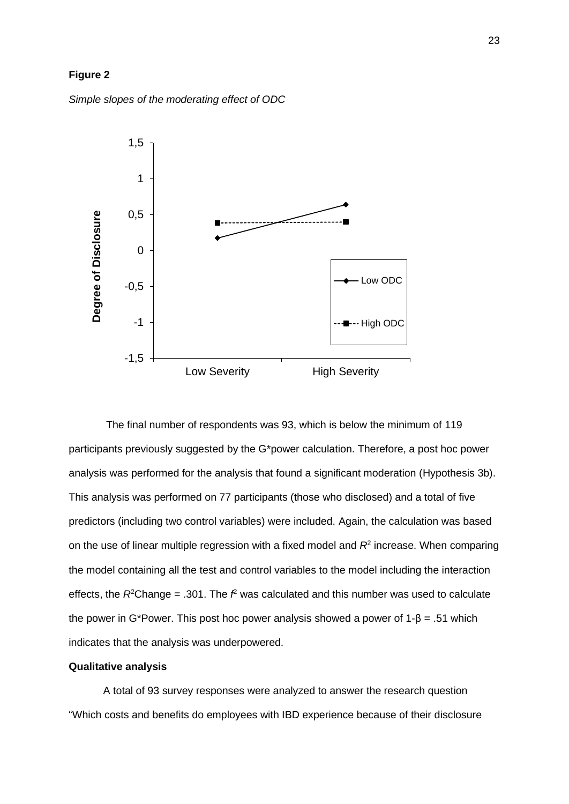## **Figure 2**

*Simple slopes of the moderating effect of ODC*



The final number of respondents was 93, which is below the minimum of 119 participants previously suggested by the G\*power calculation. Therefore, a post hoc power analysis was performed for the analysis that found a significant moderation (Hypothesis 3b). This analysis was performed on 77 participants (those who disclosed) and a total of five predictors (including two control variables) were included. Again, the calculation was based on the use of linear multiple regression with a fixed model and *R*<sup>2</sup> increase. When comparing the model containing all the test and control variables to the model including the interaction effects, the  $R^2$ Change = .301. The  $f$ <sup>2</sup> was calculated and this number was used to calculate the power in G\*Power. This post hoc power analysis showed a power of  $1-\beta = .51$  which indicates that the analysis was underpowered.

## **Qualitative analysis**

A total of 93 survey responses were analyzed to answer the research question "Which costs and benefits do employees with IBD experience because of their disclosure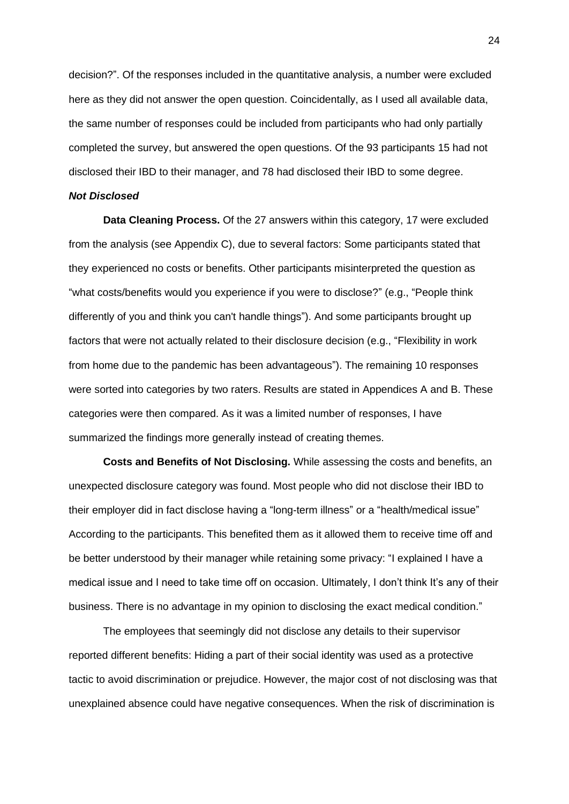decision?". Of the responses included in the quantitative analysis, a number were excluded here as they did not answer the open question. Coincidentally, as I used all available data, the same number of responses could be included from participants who had only partially completed the survey, but answered the open questions. Of the 93 participants 15 had not disclosed their IBD to their manager, and 78 had disclosed their IBD to some degree.

#### *Not Disclosed*

**Data Cleaning Process.** Of the 27 answers within this category, 17 were excluded from the analysis (see Appendix C), due to several factors: Some participants stated that they experienced no costs or benefits. Other participants misinterpreted the question as "what costs/benefits would you experience if you were to disclose?" (e.g., "People think differently of you and think you can't handle things"). And some participants brought up factors that were not actually related to their disclosure decision (e.g., "Flexibility in work from home due to the pandemic has been advantageous"). The remaining 10 responses were sorted into categories by two raters. Results are stated in Appendices A and B. These categories were then compared. As it was a limited number of responses, I have summarized the findings more generally instead of creating themes.

**Costs and Benefits of Not Disclosing.** While assessing the costs and benefits, an unexpected disclosure category was found. Most people who did not disclose their IBD to their employer did in fact disclose having a "long-term illness" or a "health/medical issue" According to the participants. This benefited them as it allowed them to receive time off and be better understood by their manager while retaining some privacy: "I explained I have a medical issue and I need to take time off on occasion. Ultimately, I don't think It's any of their business. There is no advantage in my opinion to disclosing the exact medical condition."

The employees that seemingly did not disclose any details to their supervisor reported different benefits: Hiding a part of their social identity was used as a protective tactic to avoid discrimination or prejudice. However, the major cost of not disclosing was that unexplained absence could have negative consequences. When the risk of discrimination is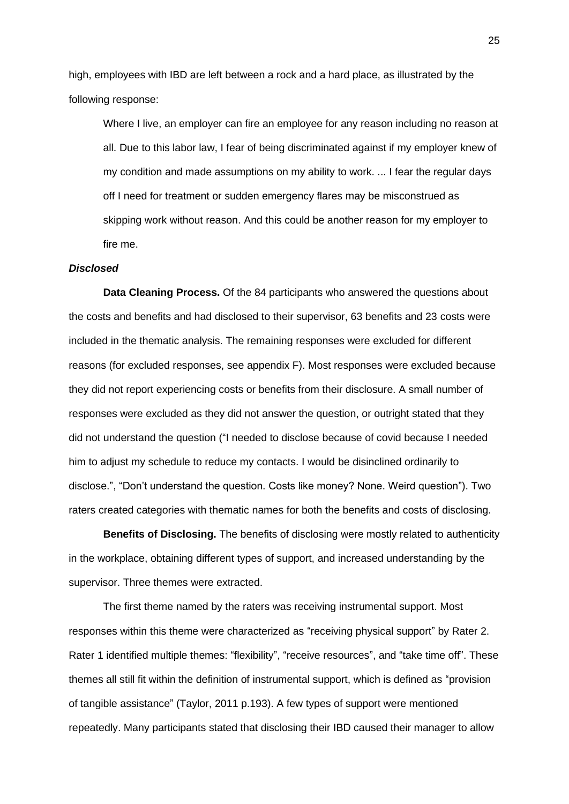high, employees with IBD are left between a rock and a hard place, as illustrated by the following response:

Where I live, an employer can fire an employee for any reason including no reason at all. Due to this labor law, I fear of being discriminated against if my employer knew of my condition and made assumptions on my ability to work. ... I fear the regular days off I need for treatment or sudden emergency flares may be misconstrued as skipping work without reason. And this could be another reason for my employer to fire me.

## *Disclosed*

**Data Cleaning Process.** Of the 84 participants who answered the questions about the costs and benefits and had disclosed to their supervisor, 63 benefits and 23 costs were included in the thematic analysis. The remaining responses were excluded for different reasons (for excluded responses, see appendix F). Most responses were excluded because they did not report experiencing costs or benefits from their disclosure. A small number of responses were excluded as they did not answer the question, or outright stated that they did not understand the question ("I needed to disclose because of covid because I needed him to adjust my schedule to reduce my contacts. I would be disinclined ordinarily to disclose.", "Don't understand the question. Costs like money? None. Weird question"). Two raters created categories with thematic names for both the benefits and costs of disclosing.

**Benefits of Disclosing.** The benefits of disclosing were mostly related to authenticity in the workplace, obtaining different types of support, and increased understanding by the supervisor. Three themes were extracted.

The first theme named by the raters was receiving instrumental support. Most responses within this theme were characterized as "receiving physical support" by Rater 2. Rater 1 identified multiple themes: "flexibility", "receive resources", and "take time off". These themes all still fit within the definition of instrumental support, which is defined as "provision of tangible assistance" (Taylor, 2011 p.193). A few types of support were mentioned repeatedly. Many participants stated that disclosing their IBD caused their manager to allow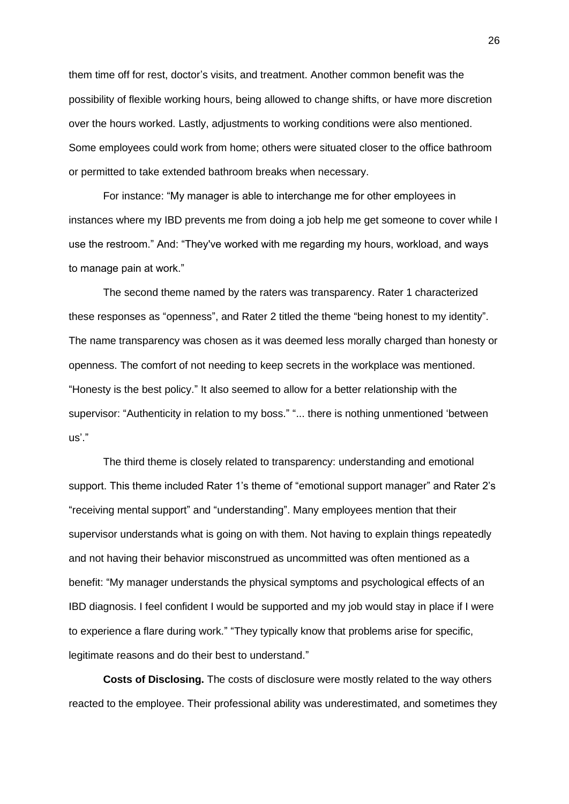them time off for rest, doctor's visits, and treatment. Another common benefit was the possibility of flexible working hours, being allowed to change shifts, or have more discretion over the hours worked. Lastly, adjustments to working conditions were also mentioned. Some employees could work from home; others were situated closer to the office bathroom or permitted to take extended bathroom breaks when necessary.

For instance: "My manager is able to interchange me for other employees in instances where my IBD prevents me from doing a job help me get someone to cover while I use the restroom." And: "They've worked with me regarding my hours, workload, and ways to manage pain at work."

The second theme named by the raters was transparency. Rater 1 characterized these responses as "openness", and Rater 2 titled the theme "being honest to my identity". The name transparency was chosen as it was deemed less morally charged than honesty or openness. The comfort of not needing to keep secrets in the workplace was mentioned. "Honesty is the best policy." It also seemed to allow for a better relationship with the supervisor: "Authenticity in relation to my boss." "... there is nothing unmentioned 'between us'."

The third theme is closely related to transparency: understanding and emotional support. This theme included Rater 1's theme of "emotional support manager" and Rater 2's "receiving mental support" and "understanding". Many employees mention that their supervisor understands what is going on with them. Not having to explain things repeatedly and not having their behavior misconstrued as uncommitted was often mentioned as a benefit: "My manager understands the physical symptoms and psychological effects of an IBD diagnosis. I feel confident I would be supported and my job would stay in place if I were to experience a flare during work." "They typically know that problems arise for specific, legitimate reasons and do their best to understand."

**Costs of Disclosing.** The costs of disclosure were mostly related to the way others reacted to the employee. Their professional ability was underestimated, and sometimes they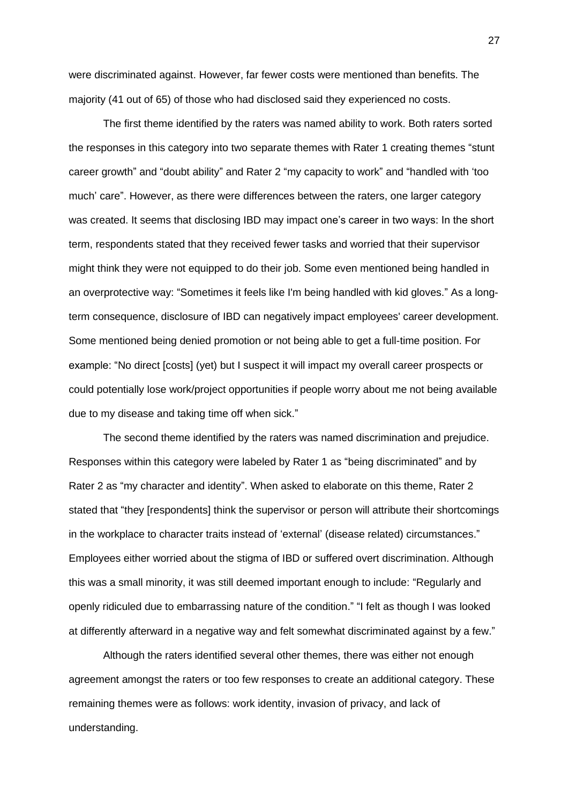were discriminated against. However, far fewer costs were mentioned than benefits. The majority (41 out of 65) of those who had disclosed said they experienced no costs.

The first theme identified by the raters was named ability to work. Both raters sorted the responses in this category into two separate themes with Rater 1 creating themes "stunt career growth" and "doubt ability" and Rater 2 "my capacity to work" and "handled with 'too much' care". However, as there were differences between the raters, one larger category was created. It seems that disclosing IBD may impact one's career in two ways: In the short term, respondents stated that they received fewer tasks and worried that their supervisor might think they were not equipped to do their job. Some even mentioned being handled in an overprotective way: "Sometimes it feels like I'm being handled with kid gloves." As a longterm consequence, disclosure of IBD can negatively impact employees' career development. Some mentioned being denied promotion or not being able to get a full-time position. For example: "No direct [costs] (yet) but I suspect it will impact my overall career prospects or could potentially lose work/project opportunities if people worry about me not being available due to my disease and taking time off when sick."

The second theme identified by the raters was named discrimination and prejudice. Responses within this category were labeled by Rater 1 as "being discriminated" and by Rater 2 as "my character and identity". When asked to elaborate on this theme, Rater 2 stated that "they [respondents] think the supervisor or person will attribute their shortcomings in the workplace to character traits instead of 'external' (disease related) circumstances." Employees either worried about the stigma of IBD or suffered overt discrimination. Although this was a small minority, it was still deemed important enough to include: "Regularly and openly ridiculed due to embarrassing nature of the condition." "I felt as though I was looked at differently afterward in a negative way and felt somewhat discriminated against by a few."

Although the raters identified several other themes, there was either not enough agreement amongst the raters or too few responses to create an additional category. These remaining themes were as follows: work identity, invasion of privacy, and lack of understanding.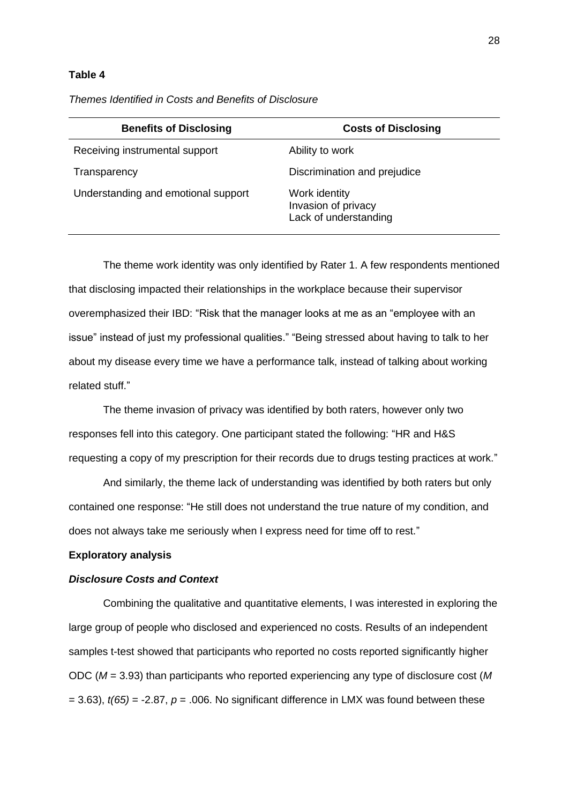### **Table 4**

| <b>Benefits of Disclosing</b>       | <b>Costs of Disclosing</b>                                    |
|-------------------------------------|---------------------------------------------------------------|
| Receiving instrumental support      | Ability to work                                               |
| Transparency                        | Discrimination and prejudice                                  |
| Understanding and emotional support | Work identity<br>Invasion of privacy<br>Lack of understanding |

*Themes Identified in Costs and Benefits of Disclosure*

The theme work identity was only identified by Rater 1. A few respondents mentioned that disclosing impacted their relationships in the workplace because their supervisor overemphasized their IBD: "Risk that the manager looks at me as an "employee with an issue" instead of just my professional qualities." "Being stressed about having to talk to her about my disease every time we have a performance talk, instead of talking about working related stuff."

The theme invasion of privacy was identified by both raters, however only two responses fell into this category. One participant stated the following: "HR and H&S requesting a copy of my prescription for their records due to drugs testing practices at work."

And similarly, the theme lack of understanding was identified by both raters but only contained one response: "He still does not understand the true nature of my condition, and does not always take me seriously when I express need for time off to rest."

#### **Exploratory analysis**

### *Disclosure Costs and Context*

Combining the qualitative and quantitative elements, I was interested in exploring the large group of people who disclosed and experienced no costs. Results of an independent samples t-test showed that participants who reported no costs reported significantly higher ODC (*M* = 3.93) than participants who reported experiencing any type of disclosure cost (*M*  $= 3.63$ ),  $t(65) = -2.87$ ,  $p = .006$ . No significant difference in LMX was found between these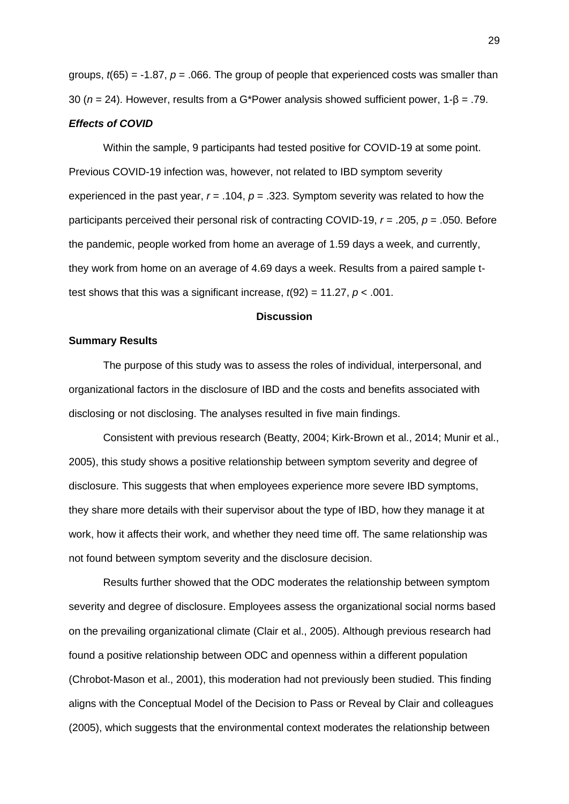groups, *t*(65) = -1.87, *p* = .066. The group of people that experienced costs was smaller than 30 (*n* = 24). However, results from a G\*Power analysis showed sufficient power, 1-β = .79.

## *Effects of COVID*

Within the sample, 9 participants had tested positive for COVID-19 at some point. Previous COVID-19 infection was, however, not related to IBD symptom severity experienced in the past year, *r* = .104, *p* = .323. Symptom severity was related to how the participants perceived their personal risk of contracting COVID-19, *r* = .205, *p* = .050. Before the pandemic, people worked from home an average of 1.59 days a week, and currently, they work from home on an average of 4.69 days a week. Results from a paired sample ttest shows that this was a significant increase,  $t(92) = 11.27$ ,  $p < .001$ .

### **Discussion**

## **Summary Results**

The purpose of this study was to assess the roles of individual, interpersonal, and organizational factors in the disclosure of IBD and the costs and benefits associated with disclosing or not disclosing. The analyses resulted in five main findings.

Consistent with previous research (Beatty, 2004; Kirk-Brown et al., 2014; Munir et al., 2005), this study shows a positive relationship between symptom severity and degree of disclosure. This suggests that when employees experience more severe IBD symptoms, they share more details with their supervisor about the type of IBD, how they manage it at work, how it affects their work, and whether they need time off. The same relationship was not found between symptom severity and the disclosure decision.

Results further showed that the ODC moderates the relationship between symptom severity and degree of disclosure. Employees assess the organizational social norms based on the prevailing organizational climate (Clair et al., 2005). Although previous research had found a positive relationship between ODC and openness within a different population (Chrobot-Mason et al., 2001), this moderation had not previously been studied. This finding aligns with the Conceptual Model of the Decision to Pass or Reveal by Clair and colleagues (2005), which suggests that the environmental context moderates the relationship between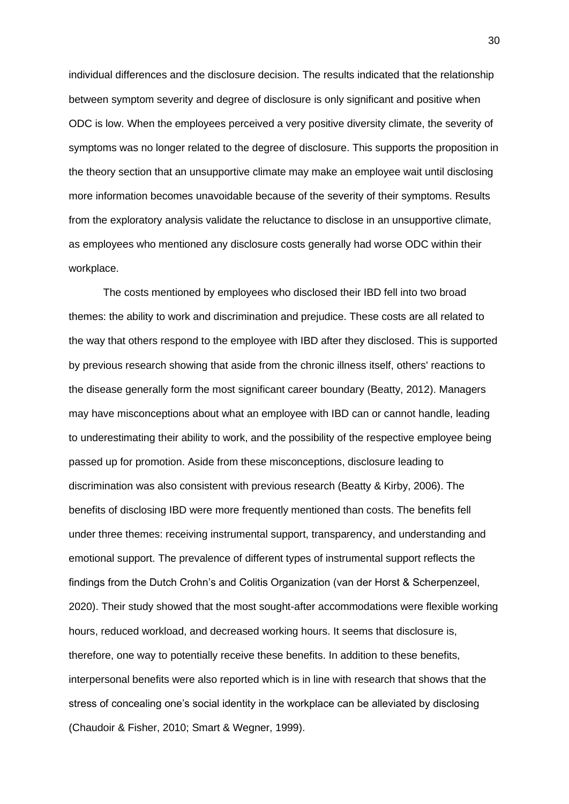individual differences and the disclosure decision. The results indicated that the relationship between symptom severity and degree of disclosure is only significant and positive when ODC is low. When the employees perceived a very positive diversity climate, the severity of symptoms was no longer related to the degree of disclosure. This supports the proposition in the theory section that an unsupportive climate may make an employee wait until disclosing more information becomes unavoidable because of the severity of their symptoms. Results from the exploratory analysis validate the reluctance to disclose in an unsupportive climate, as employees who mentioned any disclosure costs generally had worse ODC within their workplace.

The costs mentioned by employees who disclosed their IBD fell into two broad themes: the ability to work and discrimination and prejudice. These costs are all related to the way that others respond to the employee with IBD after they disclosed. This is supported by previous research showing that aside from the chronic illness itself, others' reactions to the disease generally form the most significant career boundary (Beatty, 2012). Managers may have misconceptions about what an employee with IBD can or cannot handle, leading to underestimating their ability to work, and the possibility of the respective employee being passed up for promotion. Aside from these misconceptions, disclosure leading to discrimination was also consistent with previous research (Beatty & Kirby, 2006). The benefits of disclosing IBD were more frequently mentioned than costs. The benefits fell under three themes: receiving instrumental support, transparency, and understanding and emotional support. The prevalence of different types of instrumental support reflects the findings from the Dutch Crohn's and Colitis Organization (van der Horst & Scherpenzeel, 2020). Their study showed that the most sought-after accommodations were flexible working hours, reduced workload, and decreased working hours. It seems that disclosure is, therefore, one way to potentially receive these benefits. In addition to these benefits, interpersonal benefits were also reported which is in line with research that shows that the stress of concealing one's social identity in the workplace can be alleviated by disclosing (Chaudoir & Fisher, 2010; Smart & Wegner, 1999).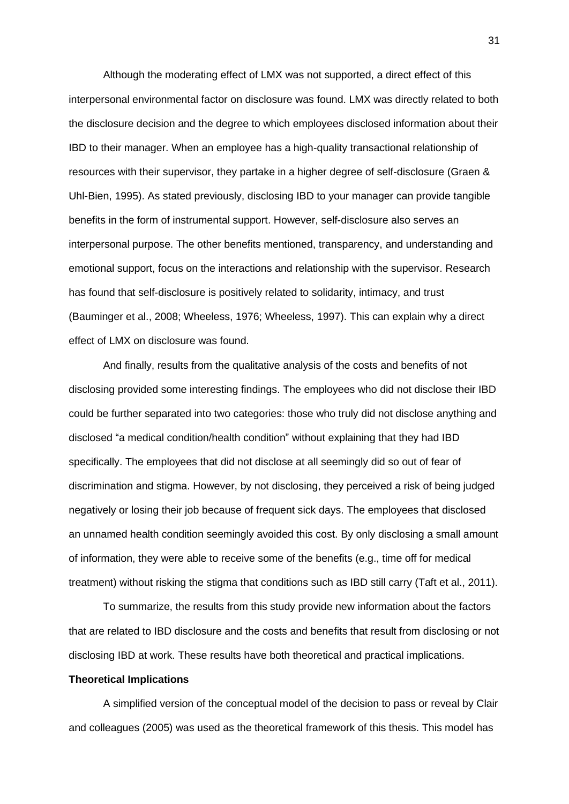Although the moderating effect of LMX was not supported, a direct effect of this interpersonal environmental factor on disclosure was found. LMX was directly related to both the disclosure decision and the degree to which employees disclosed information about their IBD to their manager. When an employee has a high-quality transactional relationship of resources with their supervisor, they partake in a higher degree of self-disclosure (Graen & Uhl-Bien, 1995). As stated previously, disclosing IBD to your manager can provide tangible benefits in the form of instrumental support. However, self-disclosure also serves an interpersonal purpose. The other benefits mentioned, transparency, and understanding and emotional support, focus on the interactions and relationship with the supervisor. Research has found that self-disclosure is positively related to solidarity, intimacy, and trust (Bauminger et al., 2008; Wheeless, 1976; Wheeless, 1997). This can explain why a direct effect of LMX on disclosure was found.

And finally, results from the qualitative analysis of the costs and benefits of not disclosing provided some interesting findings. The employees who did not disclose their IBD could be further separated into two categories: those who truly did not disclose anything and disclosed "a medical condition/health condition" without explaining that they had IBD specifically. The employees that did not disclose at all seemingly did so out of fear of discrimination and stigma. However, by not disclosing, they perceived a risk of being judged negatively or losing their job because of frequent sick days. The employees that disclosed an unnamed health condition seemingly avoided this cost. By only disclosing a small amount of information, they were able to receive some of the benefits (e.g., time off for medical treatment) without risking the stigma that conditions such as IBD still carry (Taft et al., 2011).

To summarize, the results from this study provide new information about the factors that are related to IBD disclosure and the costs and benefits that result from disclosing or not disclosing IBD at work. These results have both theoretical and practical implications.

#### **Theoretical Implications**

A simplified version of the conceptual model of the decision to pass or reveal by Clair and colleagues (2005) was used as the theoretical framework of this thesis. This model has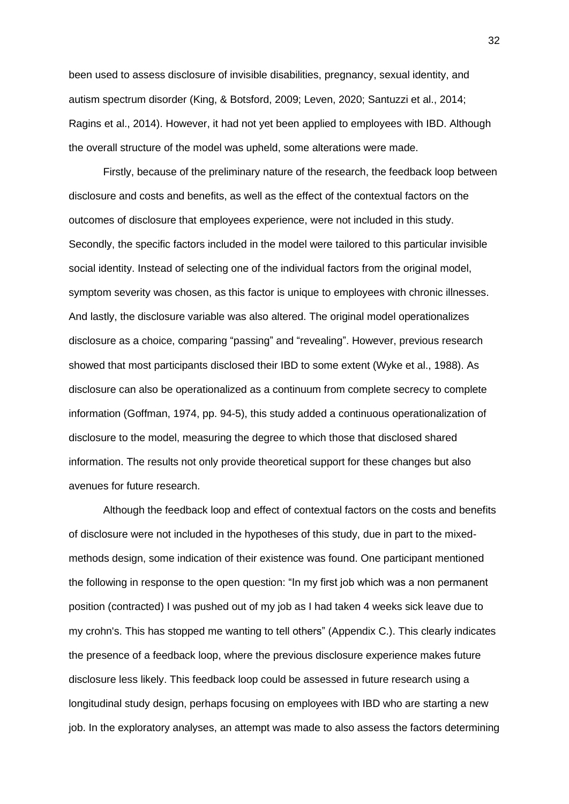been used to assess disclosure of invisible disabilities, pregnancy, sexual identity, and autism spectrum disorder (King, & Botsford, 2009; Leven, 2020; Santuzzi et al., 2014; Ragins et al., 2014). However, it had not yet been applied to employees with IBD. Although the overall structure of the model was upheld, some alterations were made.

Firstly, because of the preliminary nature of the research, the feedback loop between disclosure and costs and benefits, as well as the effect of the contextual factors on the outcomes of disclosure that employees experience, were not included in this study. Secondly, the specific factors included in the model were tailored to this particular invisible social identity. Instead of selecting one of the individual factors from the original model, symptom severity was chosen, as this factor is unique to employees with chronic illnesses. And lastly, the disclosure variable was also altered. The original model operationalizes disclosure as a choice, comparing "passing" and "revealing". However, previous research showed that most participants disclosed their IBD to some extent (Wyke et al., 1988). As disclosure can also be operationalized as a continuum from complete secrecy to complete information (Goffman, 1974, pp. 94-5), this study added a continuous operationalization of disclosure to the model, measuring the degree to which those that disclosed shared information. The results not only provide theoretical support for these changes but also avenues for future research.

Although the feedback loop and effect of contextual factors on the costs and benefits of disclosure were not included in the hypotheses of this study, due in part to the mixedmethods design, some indication of their existence was found. One participant mentioned the following in response to the open question: "In my first job which was a non permanent position (contracted) I was pushed out of my job as I had taken 4 weeks sick leave due to my crohn's. This has stopped me wanting to tell others" (Appendix C.). This clearly indicates the presence of a feedback loop, where the previous disclosure experience makes future disclosure less likely. This feedback loop could be assessed in future research using a longitudinal study design, perhaps focusing on employees with IBD who are starting a new job. In the exploratory analyses, an attempt was made to also assess the factors determining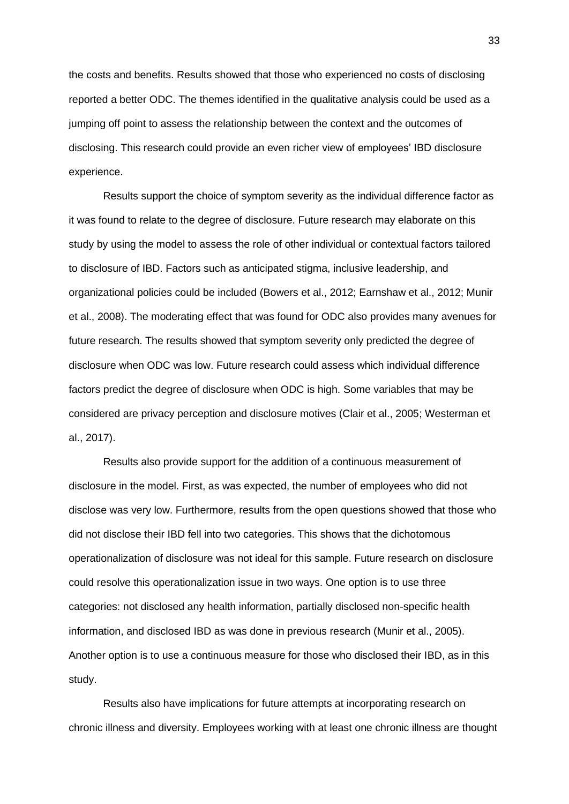the costs and benefits. Results showed that those who experienced no costs of disclosing reported a better ODC. The themes identified in the qualitative analysis could be used as a jumping off point to assess the relationship between the context and the outcomes of disclosing. This research could provide an even richer view of employees' IBD disclosure experience.

Results support the choice of symptom severity as the individual difference factor as it was found to relate to the degree of disclosure. Future research may elaborate on this study by using the model to assess the role of other individual or contextual factors tailored to disclosure of IBD. Factors such as anticipated stigma, inclusive leadership, and organizational policies could be included (Bowers et al., 2012; Earnshaw et al., 2012; Munir et al., 2008). The moderating effect that was found for ODC also provides many avenues for future research. The results showed that symptom severity only predicted the degree of disclosure when ODC was low. Future research could assess which individual difference factors predict the degree of disclosure when ODC is high. Some variables that may be considered are privacy perception and disclosure motives (Clair et al., 2005; Westerman et al., 2017).

Results also provide support for the addition of a continuous measurement of disclosure in the model. First, as was expected, the number of employees who did not disclose was very low. Furthermore, results from the open questions showed that those who did not disclose their IBD fell into two categories. This shows that the dichotomous operationalization of disclosure was not ideal for this sample. Future research on disclosure could resolve this operationalization issue in two ways. One option is to use three categories: not disclosed any health information, partially disclosed non-specific health information, and disclosed IBD as was done in previous research (Munir et al., 2005). Another option is to use a continuous measure for those who disclosed their IBD, as in this study.

Results also have implications for future attempts at incorporating research on chronic illness and diversity. Employees working with at least one chronic illness are thought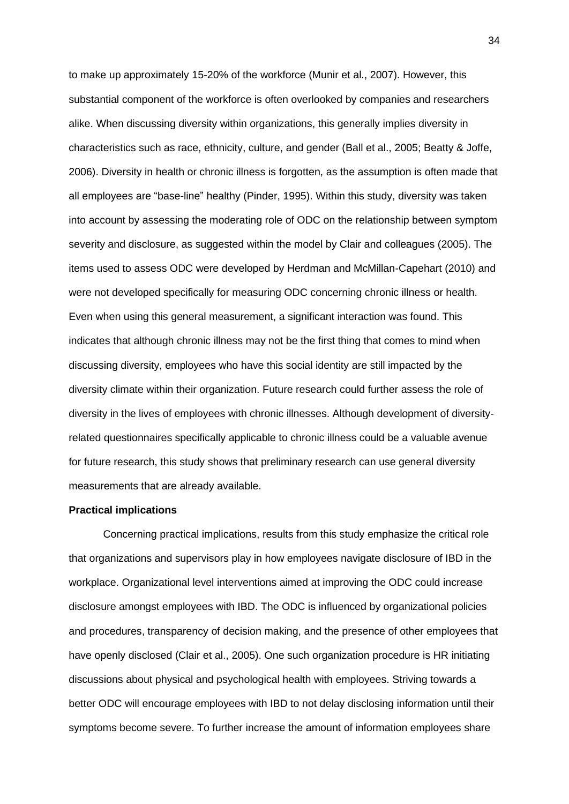to make up approximately 15-20% of the workforce (Munir et al., 2007). However, this substantial component of the workforce is often overlooked by companies and researchers alike. When discussing diversity within organizations, this generally implies diversity in characteristics such as race, ethnicity, culture, and gender (Ball et al., 2005; Beatty & Joffe, 2006). Diversity in health or chronic illness is forgotten, as the assumption is often made that all employees are "base-line" healthy (Pinder, 1995). Within this study, diversity was taken into account by assessing the moderating role of ODC on the relationship between symptom severity and disclosure, as suggested within the model by Clair and colleagues (2005). The items used to assess ODC were developed by Herdman and McMillan-Capehart (2010) and were not developed specifically for measuring ODC concerning chronic illness or health. Even when using this general measurement, a significant interaction was found. This indicates that although chronic illness may not be the first thing that comes to mind when discussing diversity, employees who have this social identity are still impacted by the diversity climate within their organization. Future research could further assess the role of diversity in the lives of employees with chronic illnesses. Although development of diversityrelated questionnaires specifically applicable to chronic illness could be a valuable avenue for future research, this study shows that preliminary research can use general diversity measurements that are already available.

### **Practical implications**

Concerning practical implications, results from this study emphasize the critical role that organizations and supervisors play in how employees navigate disclosure of IBD in the workplace. Organizational level interventions aimed at improving the ODC could increase disclosure amongst employees with IBD. The ODC is influenced by organizational policies and procedures, transparency of decision making, and the presence of other employees that have openly disclosed (Clair et al., 2005). One such organization procedure is HR initiating discussions about physical and psychological health with employees. Striving towards a better ODC will encourage employees with IBD to not delay disclosing information until their symptoms become severe. To further increase the amount of information employees share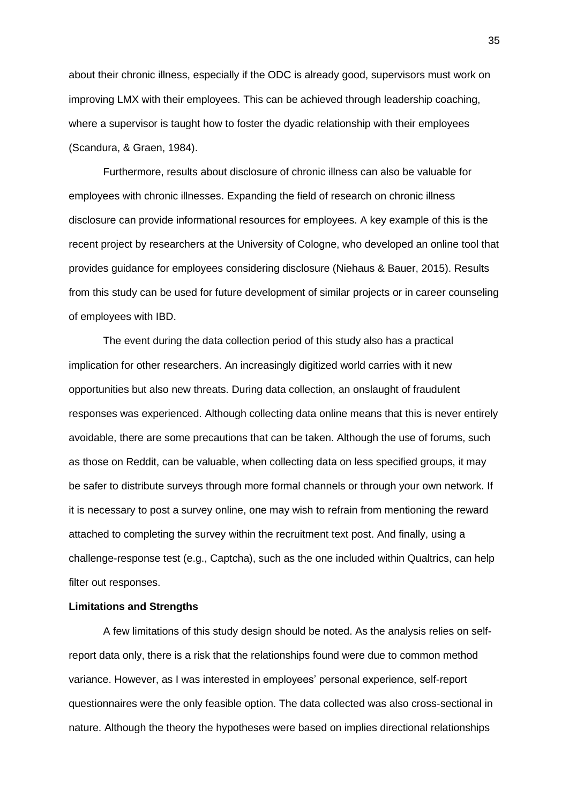about their chronic illness, especially if the ODC is already good, supervisors must work on improving LMX with their employees. This can be achieved through leadership coaching, where a supervisor is taught how to foster the dyadic relationship with their employees (Scandura, & Graen, 1984).

Furthermore, results about disclosure of chronic illness can also be valuable for employees with chronic illnesses. Expanding the field of research on chronic illness disclosure can provide informational resources for employees. A key example of this is the recent project by researchers at the University of Cologne, who developed an online tool that provides guidance for employees considering disclosure (Niehaus & Bauer, 2015). Results from this study can be used for future development of similar projects or in career counseling of employees with IBD.

The event during the data collection period of this study also has a practical implication for other researchers. An increasingly digitized world carries with it new opportunities but also new threats. During data collection, an onslaught of fraudulent responses was experienced. Although collecting data online means that this is never entirely avoidable, there are some precautions that can be taken. Although the use of forums, such as those on Reddit, can be valuable, when collecting data on less specified groups, it may be safer to distribute surveys through more formal channels or through your own network. If it is necessary to post a survey online, one may wish to refrain from mentioning the reward attached to completing the survey within the recruitment text post. And finally, using a challenge-response test (e.g., Captcha), such as the one included within Qualtrics, can help filter out responses.

## **Limitations and Strengths**

A few limitations of this study design should be noted. As the analysis relies on selfreport data only, there is a risk that the relationships found were due to common method variance. However, as I was interested in employees' personal experience, self-report questionnaires were the only feasible option. The data collected was also cross-sectional in nature. Although the theory the hypotheses were based on implies directional relationships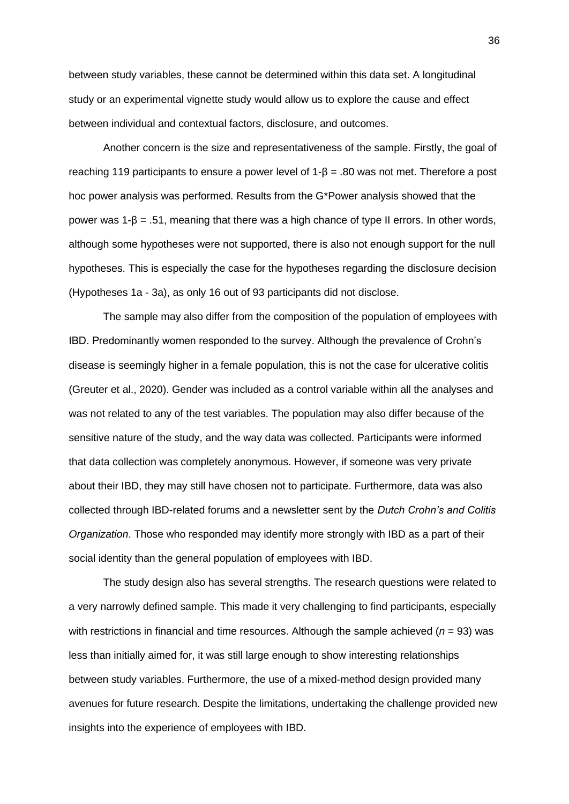between study variables, these cannot be determined within this data set. A longitudinal study or an experimental vignette study would allow us to explore the cause and effect between individual and contextual factors, disclosure, and outcomes.

Another concern is the size and representativeness of the sample. Firstly, the goal of reaching 119 participants to ensure a power level of  $1-\beta = 0.80$  was not met. Therefore a post hoc power analysis was performed. Results from the G\*Power analysis showed that the power was  $1-\beta = .51$ , meaning that there was a high chance of type II errors. In other words, although some hypotheses were not supported, there is also not enough support for the null hypotheses. This is especially the case for the hypotheses regarding the disclosure decision (Hypotheses 1a - 3a), as only 16 out of 93 participants did not disclose.

The sample may also differ from the composition of the population of employees with IBD. Predominantly women responded to the survey. Although the prevalence of Crohn's disease is seemingly higher in a female population, this is not the case for ulcerative colitis (Greuter et al., 2020). Gender was included as a control variable within all the analyses and was not related to any of the test variables. The population may also differ because of the sensitive nature of the study, and the way data was collected. Participants were informed that data collection was completely anonymous. However, if someone was very private about their IBD, they may still have chosen not to participate. Furthermore, data was also collected through IBD-related forums and a newsletter sent by the *Dutch Crohn's and Colitis Organization*. Those who responded may identify more strongly with IBD as a part of their social identity than the general population of employees with IBD.

The study design also has several strengths. The research questions were related to a very narrowly defined sample. This made it very challenging to find participants, especially with restrictions in financial and time resources. Although the sample achieved (*n* = 93) was less than initially aimed for, it was still large enough to show interesting relationships between study variables. Furthermore, the use of a mixed-method design provided many avenues for future research. Despite the limitations, undertaking the challenge provided new insights into the experience of employees with IBD.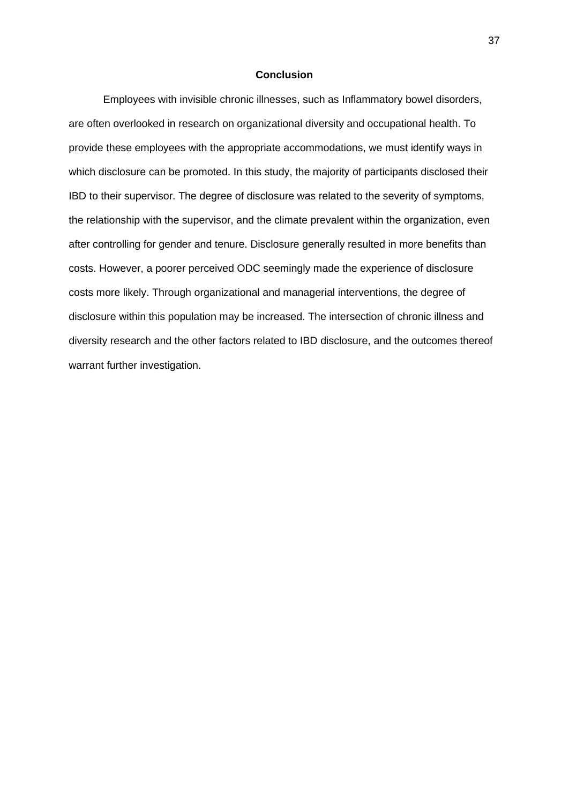#### **Conclusion**

Employees with invisible chronic illnesses, such as Inflammatory bowel disorders, are often overlooked in research on organizational diversity and occupational health. To provide these employees with the appropriate accommodations, we must identify ways in which disclosure can be promoted. In this study, the majority of participants disclosed their IBD to their supervisor. The degree of disclosure was related to the severity of symptoms, the relationship with the supervisor, and the climate prevalent within the organization, even after controlling for gender and tenure. Disclosure generally resulted in more benefits than costs. However, a poorer perceived ODC seemingly made the experience of disclosure costs more likely. Through organizational and managerial interventions, the degree of disclosure within this population may be increased. The intersection of chronic illness and diversity research and the other factors related to IBD disclosure, and the outcomes thereof warrant further investigation.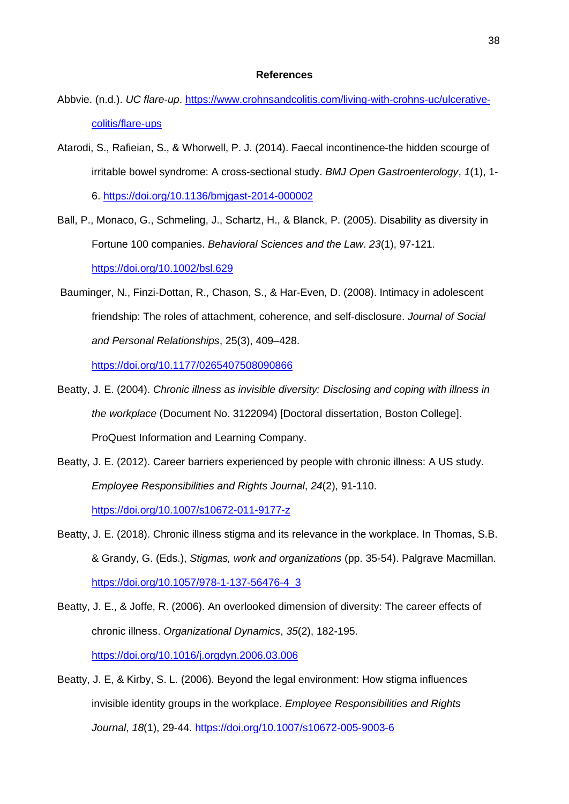#### **References**

- Abbvie. (n.d.). *UC flare-up*. [https://www.crohnsandcolitis.com/living-with-crohns-uc/ulcerative](https://www.crohnsandcolitis.com/living-with-crohns-uc/ulcerative-colitis/flare-ups)[colitis/flare-ups](https://www.crohnsandcolitis.com/living-with-crohns-uc/ulcerative-colitis/flare-ups)
- Atarodi, S., Rafieian, S., & Whorwell, P. J. (2014). Faecal incontinence-the hidden scourge of irritable bowel syndrome: A cross-sectional study. *BMJ Open Gastroenterology*, *1*(1), 1- 6.<https://doi.org/10.1136/bmjgast-2014-000002>
- Ball, P., Monaco, G., Schmeling, J., Schartz, H., & Blanck, P. (2005). Disability as diversity in Fortune 100 companies. *Behavioral Sciences and the Law*. *23*(1), 97-121. <https://doi.org/10.1002/bsl.629>
- Bauminger, N., Finzi-Dottan, R., Chason, S., & Har-Even, D. (2008). Intimacy in adolescent friendship: The roles of attachment, coherence, and self-disclosure. *Journal of Social and Personal Relationships*, 25(3), 409–428.

<https://doi.org/10.1177/0265407508090866>

- Beatty, J. E. (2004). *Chronic illness as invisible diversity: Disclosing and coping with illness in the workplace* (Document No. 3122094) [Doctoral dissertation, Boston College]. ProQuest Information and Learning Company.
- Beatty, J. E. (2012). Career barriers experienced by people with chronic illness: A US study. *Employee Responsibilities and Rights Journal*, *24*(2), 91-110. <https://doi.org/10.1007/s10672-011-9177-z>
- Beatty, J. E. (2018). Chronic illness stigma and its relevance in the workplace. In Thomas, S.B. & Grandy, G. (Eds.), *Stigmas, work and organizations* (pp. 35-54). Palgrave Macmillan. [https://doi.org/10.1057/978-1-137-56476-4\\_3](https://doi.org/10.1057/978-1-137-56476-4_3)
- Beatty, J. E., & Joffe, R. (2006). An overlooked dimension of diversity: The career effects of chronic illness. *Organizational Dynamics*, *35*(2), 182-195. <https://doi.org/10.1016/j.orgdyn.2006.03.006>
- Beatty, J. E, & Kirby, S. L. (2006). Beyond the legal environment: How stigma influences invisible identity groups in the workplace. *Employee Responsibilities and Rights Journal*, *18*(1), 29-44.<https://doi.org/10.1007/s10672-005-9003-6>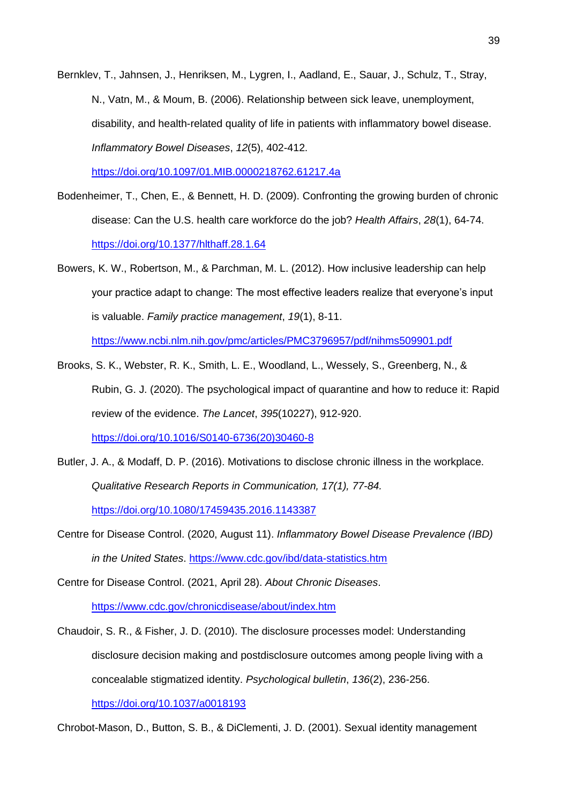Bernklev, T., Jahnsen, J., Henriksen, M., Lygren, I., Aadland, E., Sauar, J., Schulz, T., Stray, N., Vatn, M., & Moum, B. (2006). Relationship between sick leave, unemployment, disability, and health-related quality of life in patients with inflammatory bowel disease. *Inflammatory Bowel Diseases*, *12*(5), 402-412.

<https://doi.org/10.1097/01.MIB.0000218762.61217.4a>

- Bodenheimer, T., Chen, E., & Bennett, H. D. (2009). Confronting the growing burden of chronic disease: Can the U.S. health care workforce do the job? *Health Affairs*, *28*(1), 64-74. <https://doi.org/10.1377/hlthaff.28.1.64>
- Bowers, K. W., Robertson, M., & Parchman, M. L. (2012). How inclusive leadership can help your practice adapt to change: The most effective leaders realize that everyone's input is valuable. *Family practice management*, *19*(1), 8-11. <https://www.ncbi.nlm.nih.gov/pmc/articles/PMC3796957/pdf/nihms509901.pdf>
- Brooks, S. K., Webster, R. K., Smith, L. E., Woodland, L., Wessely, S., Greenberg, N., & Rubin, G. J. (2020). The psychological impact of quarantine and how to reduce it: Rapid review of the evidence. *The Lancet*, *395*(10227), 912-920. [https://doi.org/10.1016/S0140-6736\(20\)30460-8](https://doi.org/10.1016/S0140-6736(20)30460-8)
- Butler, J. A., & Modaff, D. P. (2016). Motivations to disclose chronic illness in the workplace. *Qualitative Research Reports in Communication, 17(1), 77-84.* <https://doi.org/10.1080/17459435.2016.1143387>
- Centre for Disease Control. (2020, August 11). *Inflammatory Bowel Disease Prevalence (IBD) in the United States*.<https://www.cdc.gov/ibd/data-statistics.htm>

Centre for Disease Control. (2021, April 28). *About Chronic Diseases*. <https://www.cdc.gov/chronicdisease/about/index.htm>

Chaudoir, S. R., & Fisher, J. D. (2010). The disclosure processes model: Understanding disclosure decision making and postdisclosure outcomes among people living with a concealable stigmatized identity. *Psychological bulletin*, *136*(2), 236-256. <https://doi.org/10.1037/a0018193>

Chrobot-Mason, D., Button, S. B., & DiClementi, J. D. (2001). Sexual identity management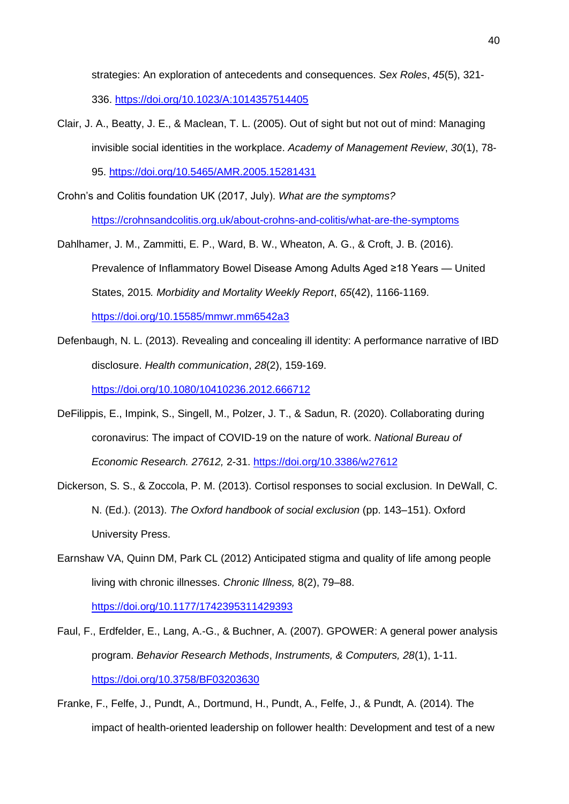strategies: An exploration of antecedents and consequences. *Sex Roles*, *45*(5), 321- 336.<https://doi.org/10.1023/A:1014357514405>

Clair, J. A., Beatty, J. E., & Maclean, T. L. (2005). Out of sight but not out of mind: Managing invisible social identities in the workplace. *Academy of Management Review*, *30*(1), 78- 95. <https://doi.org/10.5465/AMR.2005.15281431>

Crohn's and Colitis foundation UK (2017, July). *What are the symptoms?* <https://crohnsandcolitis.org.uk/about-crohns-and-colitis/what-are-the-symptoms>

- Dahlhamer, J. M., Zammitti, E. P., Ward, B. W., Wheaton, A. G., & Croft, J. B. (2016). Prevalence of Inflammatory Bowel Disease Among Adults Aged ≥18 Years — United States, 2015*. Morbidity and Mortality Weekly Report*, *65*(42), 1166-1169. <https://doi.org/10.15585/mmwr.mm6542a3>
- Defenbaugh, N. L. (2013). Revealing and concealing ill identity: A performance narrative of IBD disclosure. *Health communication*, *28*(2), 159-169. <https://doi.org/10.1080/10410236.2012.666712>
- DeFilippis, E., Impink, S., Singell, M., Polzer, J. T., & Sadun, R. (2020). Collaborating during coronavirus: The impact of COVID-19 on the nature of work. *National Bureau of Economic Research. 27612,* 2-31. <https://doi.org/10.3386/w27612>
- Dickerson, S. S., & Zoccola, P. M. (2013). Cortisol responses to social exclusion. In DeWall, C. N. (Ed.). (2013). *The Oxford handbook of social exclusion* (pp. 143–151). Oxford University Press.
- Earnshaw VA, Quinn DM, Park CL (2012) Anticipated stigma and quality of life among people living with chronic illnesses. *Chronic Illness,* 8(2), 79–88. <https://doi.org/10.1177/1742395311429393>
- Faul, F., Erdfelder, E., Lang, A.-G., & Buchner, A. (2007). GPOWER: A general power analysis program. *Behavior Research Methods*, *Instruments, & Computers, 28*(1), 1-11. <https://doi.org/10.3758/BF03203630>
- Franke, F., Felfe, J., Pundt, A., Dortmund, H., Pundt, A., Felfe, J., & Pundt, A. (2014). The impact of health-oriented leadership on follower health: Development and test of a new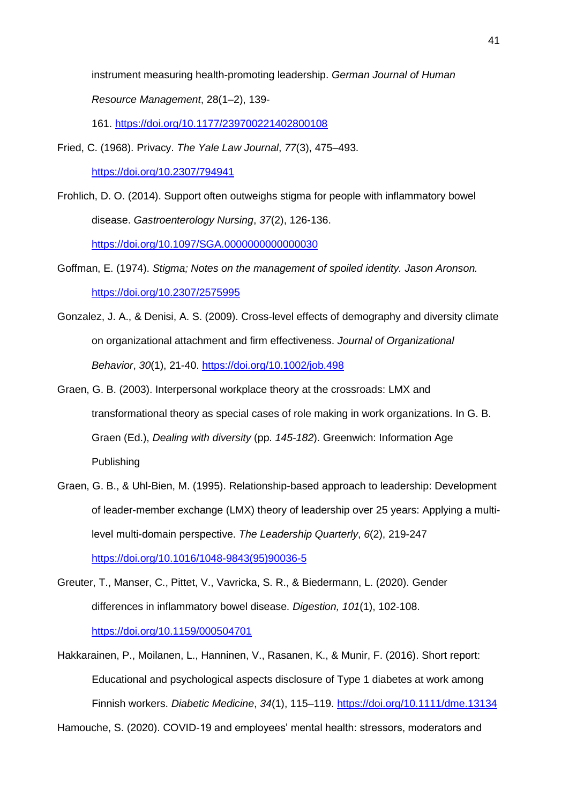instrument measuring health-promoting leadership. *German Journal of Human Resource Management*, 28(1–2), 139-

161. <https://doi.org/10.1177/239700221402800108>

- Fried, C. (1968). Privacy. *The Yale Law Journal*, *77*(3), 475–493. <https://doi.org/10.2307/794941>
- Frohlich, D. O. (2014). Support often outweighs stigma for people with inflammatory bowel disease. *Gastroenterology Nursing*, *37*(2), 126-136. <https://doi.org/10.1097/SGA.0000000000000030>
- Goffman, E. (1974). *Stigma; Notes on the management of spoiled identity. Jason Aronson.*  <https://doi.org/10.2307/2575995>
- Gonzalez, J. A., & Denisi, A. S. (2009). Cross-level effects of demography and diversity climate on organizational attachment and firm effectiveness. *Journal of Organizational Behavior*, *30*(1), 21-40. <https://doi.org/10.1002/job.498>
- Graen, G. B. (2003). Interpersonal workplace theory at the crossroads: LMX and transformational theory as special cases of role making in work organizations. In G. B. Graen (Ed.), *Dealing with diversity* (pp. *145-182*). Greenwich: Information Age Publishing
- Graen, G. B., & Uhl-Bien, M. (1995). Relationship-based approach to leadership: Development of leader-member exchange (LMX) theory of leadership over 25 years: Applying a multilevel multi-domain perspective. *The Leadership Quarterly*, *6*(2), 219-247 [https://doi.org/10.1016/1048-9843\(95\)90036-5](https://doi.org/10.1016/1048-9843(95)90036-5)
- Greuter, T., Manser, C., Pittet, V., Vavricka, S. R., & Biedermann, L. (2020). Gender differences in inflammatory bowel disease. *Digestion, 101*(1), 102-108. <https://doi.org/10.1159/000504701>
- Hakkarainen, P., Moilanen, L., Hanninen, V., Rasanen, K., & Munir, F. (2016). Short report: Educational and psychological aspects disclosure of Type 1 diabetes at work among Finnish workers. *Diabetic Medicine*, *34*(1), 115–119.<https://doi.org/10.1111/dme.13134> Hamouche, S. (2020). COVID-19 and employees' mental health: stressors, moderators and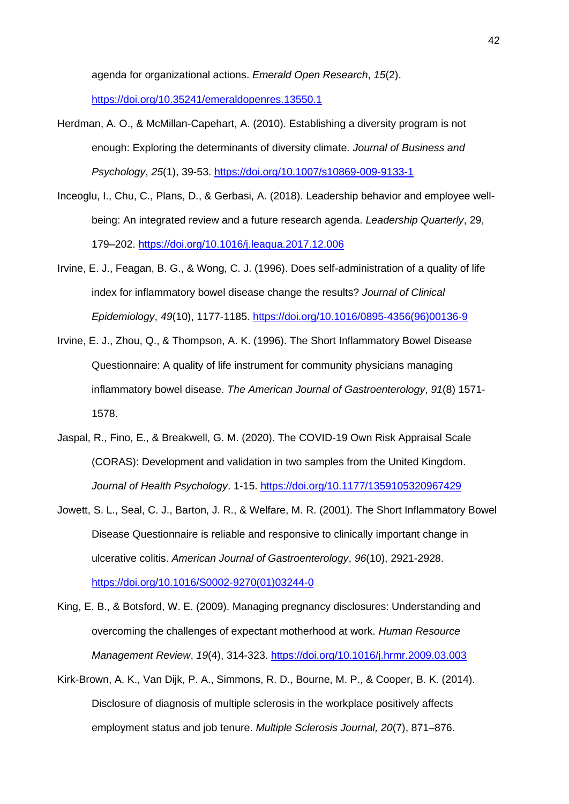agenda for organizational actions. *Emerald Open Research*, *15*(2).

<https://doi.org/10.35241/emeraldopenres.13550.1>

- Herdman, A. O., & McMillan-Capehart, A. (2010). Establishing a diversity program is not enough: Exploring the determinants of diversity climate. *Journal of Business and Psychology*, *25*(1), 39-53. <https://doi.org/10.1007/s10869-009-9133-1>
- Inceoglu, I., Chu, C., Plans, D., & Gerbasi, A. (2018). Leadership behavior and employee wellbeing: An integrated review and a future research agenda. *Leadership Quarterly*, 29, 179–202. <https://doi.org/10.1016/j.leaqua.2017.12.006>
- Irvine, E. J., Feagan, B. G., & Wong, C. J. (1996). Does self-administration of a quality of life index for inflammatory bowel disease change the results? *Journal of Clinical Epidemiology*, *49*(10), 1177-1185. [https://doi.org/10.1016/0895-4356\(96\)00136-9](https://doi.org/10.1016/0895-4356(96)00136-9)
- Irvine, E. J., Zhou, Q., & Thompson, A. K. (1996). The Short Inflammatory Bowel Disease Questionnaire: A quality of life instrument for community physicians managing inflammatory bowel disease. *The American Journal of Gastroenterology*, *91*(8) 1571- 1578.
- Jaspal, R., Fino, E., & Breakwell, G. M. (2020). The COVID-19 Own Risk Appraisal Scale (CORAS): Development and validation in two samples from the United Kingdom. *Journal of Health Psychology*. 1-15. <https://doi.org/10.1177/1359105320967429>
- Jowett, S. L., Seal, C. J., Barton, J. R., & Welfare, M. R. (2001). The Short Inflammatory Bowel Disease Questionnaire is reliable and responsive to clinically important change in ulcerative colitis. *American Journal of Gastroenterology*, *96*(10), 2921-2928. [https://doi.org/10.1016/S0002-9270\(01\)03244-0](https://doi.org/10.1016/S0002-9270(01)03244-0)
- King, E. B., & Botsford, W. E. (2009). Managing pregnancy disclosures: Understanding and overcoming the challenges of expectant motherhood at work. *Human Resource Management Review*, *19*(4), 314-323. <https://doi.org/10.1016/j.hrmr.2009.03.003>
- Kirk-Brown, A. K., Van Dijk, P. A., Simmons, R. D., Bourne, M. P., & Cooper, B. K. (2014). Disclosure of diagnosis of multiple sclerosis in the workplace positively affects employment status and job tenure. *Multiple Sclerosis Journal, 20*(7), 871–876.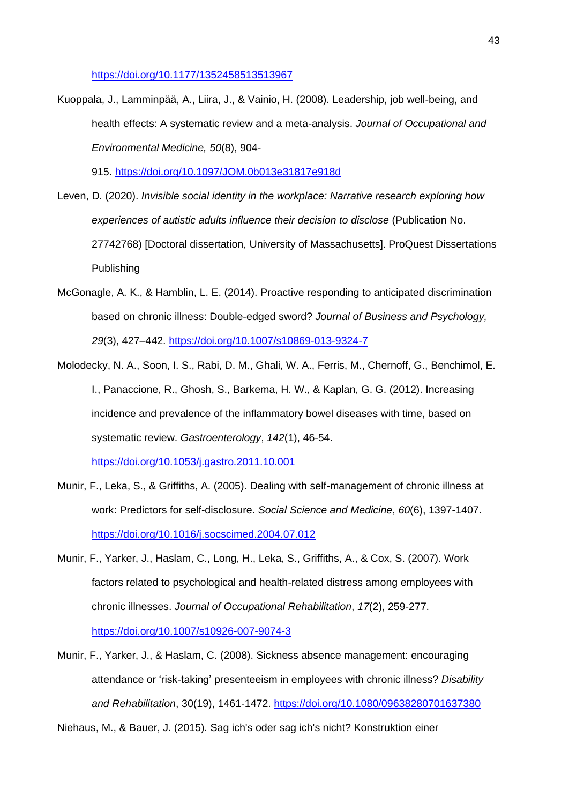<https://doi.org/10.1177/1352458513513967>

Kuoppala, J., Lamminpää, A., Liira, J., & Vainio, H. (2008). Leadership, job well-being, and health effects: A systematic review and a meta-analysis. *Journal of Occupational and Environmental Medicine, 50*(8), 904-

915. <https://doi.org/10.1097/JOM.0b013e31817e918d>

- Leven, D. (2020). *Invisible social identity in the workplace: Narrative research exploring how experiences of autistic adults influence their decision to disclose* (Publication No. 27742768) [Doctoral dissertation, University of Massachusetts]. ProQuest Dissertations Publishing
- McGonagle, A. K., & Hamblin, L. E. (2014). Proactive responding to anticipated discrimination based on chronic illness: Double-edged sword? *Journal of Business and Psychology, 29*(3), 427–442.<https://doi.org/10.1007/s10869-013-9324-7>
- Molodecky, N. A., Soon, I. S., Rabi, D. M., Ghali, W. A., Ferris, M., Chernoff, G., Benchimol, E. I., Panaccione, R., Ghosh, S., Barkema, H. W., & Kaplan, G. G. (2012). Increasing incidence and prevalence of the inflammatory bowel diseases with time, based on systematic review. *Gastroenterology*, *142*(1), 46-54. <https://doi.org/10.1053/j.gastro.2011.10.001>
- Munir, F., Leka, S., & Griffiths, A. (2005). Dealing with self-management of chronic illness at work: Predictors for self-disclosure. *Social Science and Medicine*, *60*(6), 1397-1407. <https://doi.org/10.1016/j.socscimed.2004.07.012>
- Munir, F., Yarker, J., Haslam, C., Long, H., Leka, S., Griffiths, A., & Cox, S. (2007). Work factors related to psychological and health-related distress among employees with chronic illnesses. *Journal of Occupational Rehabilitation*, *17*(2), 259-277. <https://doi.org/10.1007/s10926-007-9074-3>
- Munir, F., Yarker, J., & Haslam, C. (2008). Sickness absence management: encouraging attendance or 'risk-taking' presenteeism in employees with chronic illness? *Disability and Rehabilitation*, 30(19), 1461-1472.<https://doi.org/10.1080/09638280701637380>

Niehaus, M., & Bauer, J. (2015). Sag ich's oder sag ich's nicht? Konstruktion einer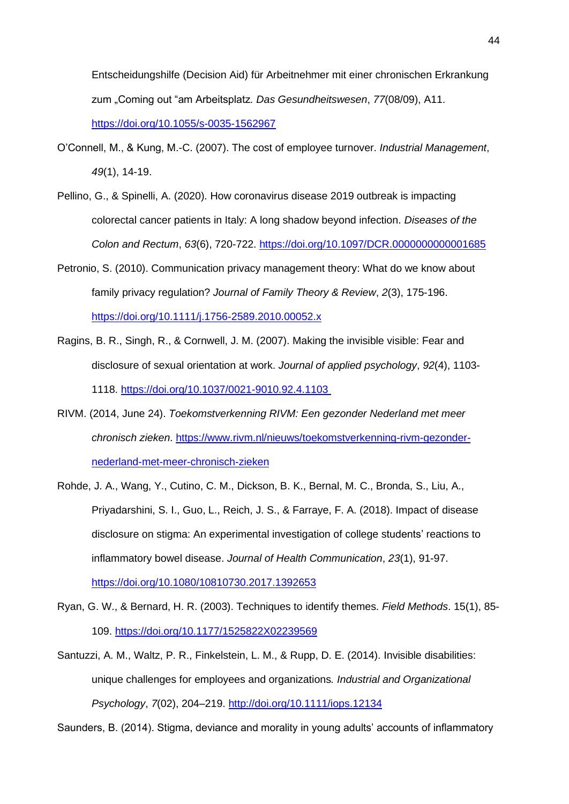Entscheidungshilfe (Decision Aid) für Arbeitnehmer mit einer chronischen Erkrankung zum "Coming out "am Arbeitsplatz*. Das Gesundheitswesen*, *77*(08/09), A11. <https://doi.org/10.1055/s-0035-1562967>

- O'Connell, M., & Kung, M.-C. (2007). The cost of employee turnover. *Industrial Management*, *49*(1), 14-19.
- Pellino, G., & Spinelli, A. (2020). How coronavirus disease 2019 outbreak is impacting colorectal cancer patients in Italy: A long shadow beyond infection. *Diseases of the Colon and Rectum*, *63*(6), 720-722. <https://doi.org/10.1097/DCR.0000000000001685>
- Petronio, S. (2010). Communication privacy management theory: What do we know about family privacy regulation? *Journal of Family Theory & Review*, *2*(3), 175-196. <https://doi.org/10.1111/j.1756-2589.2010.00052.x>
- Ragins, B. R., Singh, R., & Cornwell, J. M. (2007). Making the invisible visible: Fear and disclosure of sexual orientation at work. *Journal of applied psychology*, *92*(4), 1103- 1118.<https://doi.org/10.1037/0021-9010.92.4.1103>
- RIVM. (2014, June 24). *Toekomstverkenning RIVM: Een gezonder Nederland met meer chronisch zieken*. [https://www.rivm.nl/nieuws/toekomstverkenning-rivm-gezonder](https://www.rivm.nl/nieuws/toekomstverkenning-rivm-gezonder-nederland-met-meer-chronisch-zieken)[nederland-met-meer-chronisch-zieken](https://www.rivm.nl/nieuws/toekomstverkenning-rivm-gezonder-nederland-met-meer-chronisch-zieken)
- Rohde, J. A., Wang, Y., Cutino, C. M., Dickson, B. K., Bernal, M. C., Bronda, S., Liu, A., Priyadarshini, S. I., Guo, L., Reich, J. S., & Farraye, F. A. (2018). Impact of disease disclosure on stigma: An experimental investigation of college students' reactions to inflammatory bowel disease. *Journal of Health Communication*, *23*(1), 91-97. <https://doi.org/10.1080/10810730.2017.1392653>
- Ryan, G. W., & Bernard, H. R. (2003). Techniques to identify themes. *Field Methods*. 15(1), 85- 109.<https://doi.org/10.1177/1525822X02239569>
- Santuzzi, A. M., Waltz, P. R., Finkelstein, L. M., & Rupp, D. E. (2014). Invisible disabilities: unique challenges for employees and organizations*. Industrial and Organizational Psychology*, *7*(02), 204–219.<http://doi.org/10.1111/iops.12134>

Saunders, B. (2014). Stigma, deviance and morality in young adults' accounts of inflammatory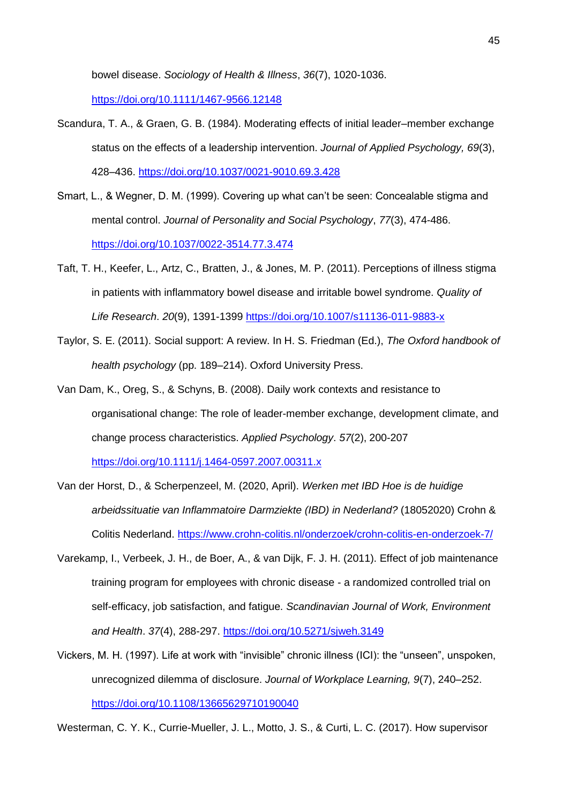bowel disease. *Sociology of Health & Illness*, *36*(7), 1020-1036.

<https://doi.org/10.1111/1467-9566.12148>

- Scandura, T. A., & Graen, G. B. (1984). Moderating effects of initial leader–member exchange status on the effects of a leadership intervention. *Journal of Applied Psychology, 69*(3), 428–436.<https://doi.org/10.1037/0021-9010.69.3.428>
- Smart, L., & Wegner, D. M. (1999). Covering up what can't be seen: Concealable stigma and mental control. *Journal of Personality and Social Psychology*, *77*(3), 474-486. <https://doi.org/10.1037/0022-3514.77.3.474>
- Taft, T. H., Keefer, L., Artz, C., Bratten, J., & Jones, M. P. (2011). Perceptions of illness stigma in patients with inflammatory bowel disease and irritable bowel syndrome. *Quality of Life Research*. *20*(9), 1391-1399<https://doi.org/10.1007/s11136-011-9883-x>
- Taylor, S. E. (2011). Social support: A review. In H. S. Friedman (Ed.), *The Oxford handbook of health psychology* (pp. 189–214). Oxford University Press.
- Van Dam, K., Oreg, S., & Schyns, B. (2008). Daily work contexts and resistance to organisational change: The role of leader-member exchange, development climate, and change process characteristics. *Applied Psychology*. *57*(2), 200-207 <https://doi.org/10.1111/j.1464-0597.2007.00311.x>
- Van der Horst, D., & Scherpenzeel, M. (2020, April). *Werken met IBD Hoe is de huidige arbeidssituatie van Inflammatoire Darmziekte (IBD) in Nederland?* (18052020) Crohn & Colitis Nederland.<https://www.crohn-colitis.nl/onderzoek/crohn-colitis-en-onderzoek-7/>
- Varekamp, I., Verbeek, J. H., de Boer, A., & van Dijk, F. J. H. (2011). Effect of job maintenance training program for employees with chronic disease - a randomized controlled trial on self-efficacy, job satisfaction, and fatigue. *Scandinavian Journal of Work, Environment and Health*. *37*(4), 288-297.<https://doi.org/10.5271/sjweh.3149>
- Vickers, M. H. (1997). Life at work with "invisible" chronic illness (ICI): the "unseen", unspoken, unrecognized dilemma of disclosure. *Journal of Workplace Learning, 9*(7), 240–252. <https://doi.org/10.1108/13665629710190040>

Westerman, C. Y. K., Currie-Mueller, J. L., Motto, J. S., & Curti, L. C. (2017). How supervisor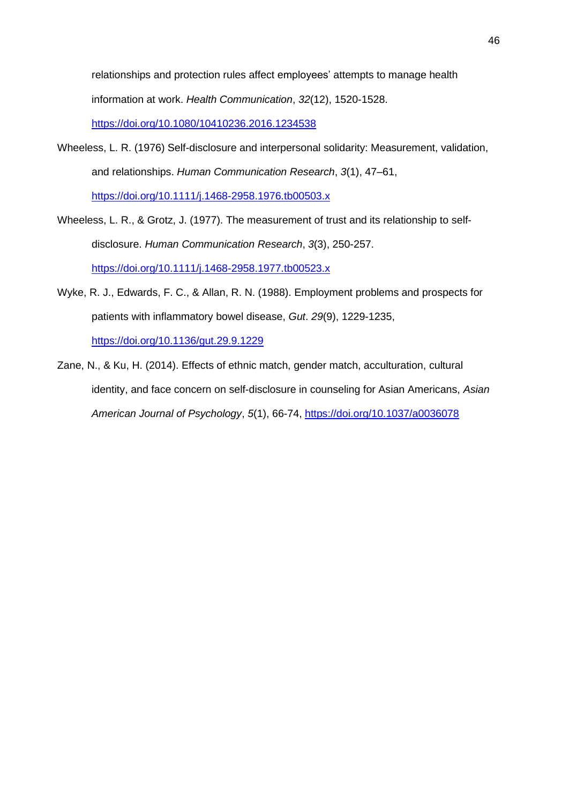relationships and protection rules affect employees' attempts to manage health information at work. *Health Communication*, *32*(12), 1520-1528. <https://doi.org/10.1080/10410236.2016.1234538>

Wheeless, L. R. (1976) Self-disclosure and interpersonal solidarity: Measurement, validation, and relationships. *Human Communication Research*, *3*(1), 47–61, <https://doi.org/10.1111/j.1468-2958.1976.tb00503.x>

Wheeless, L. R., & Grotz, J. (1977). The measurement of trust and its relationship to selfdisclosure. *Human Communication Research*, *3*(3), 250-257. <https://doi.org/10.1111/j.1468-2958.1977.tb00523.x>

- Wyke, R. J., Edwards, F. C., & Allan, R. N. (1988). Employment problems and prospects for patients with inflammatory bowel disease, *Gut*. *29*(9), 1229-1235, <https://doi.org/10.1136/gut.29.9.1229>
- Zane, N., & Ku, H. (2014). Effects of ethnic match, gender match, acculturation, cultural identity, and face concern on self-disclosure in counseling for Asian Americans, *Asian American Journal of Psychology*, *5*(1), 66-74,<https://doi.org/10.1037/a0036078>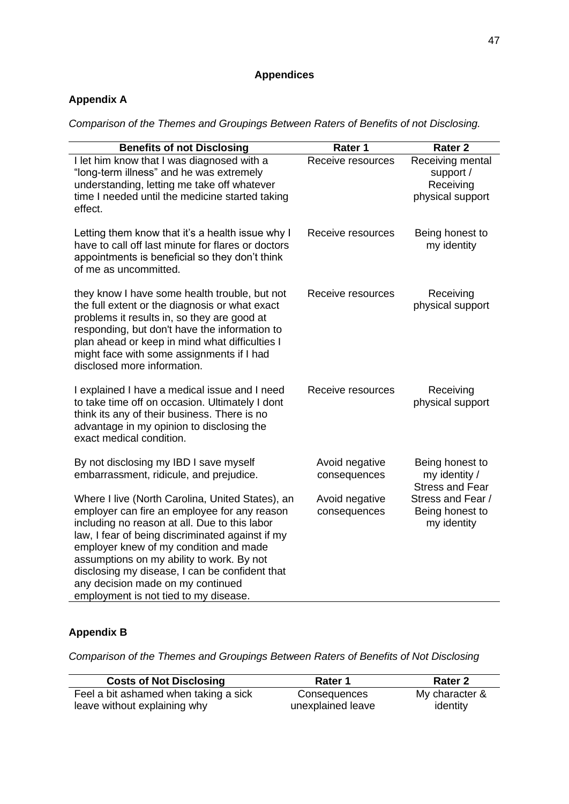# **Appendices**

# **Appendix A**

*Comparison of the Themes and Groupings Between Raters of Benefits of not Disclosing.* 

| <b>Benefits of not Disclosing</b>                                                                                                                                                                                                                                                                                                                                                                                            | Rater 1                        | <b>Rater 2</b>                                                 |
|------------------------------------------------------------------------------------------------------------------------------------------------------------------------------------------------------------------------------------------------------------------------------------------------------------------------------------------------------------------------------------------------------------------------------|--------------------------------|----------------------------------------------------------------|
| I let him know that I was diagnosed with a<br>"long-term illness" and he was extremely<br>understanding, letting me take off whatever<br>time I needed until the medicine started taking<br>effect.                                                                                                                                                                                                                          | Receive resources              | Receiving mental<br>support /<br>Receiving<br>physical support |
| Letting them know that it's a health issue why I<br>have to call off last minute for flares or doctors<br>appointments is beneficial so they don't think<br>of me as uncommitted.                                                                                                                                                                                                                                            | Receive resources              | Being honest to<br>my identity                                 |
| they know I have some health trouble, but not<br>the full extent or the diagnosis or what exact<br>problems it results in, so they are good at<br>responding, but don't have the information to<br>plan ahead or keep in mind what difficulties I<br>might face with some assignments if I had<br>disclosed more information.                                                                                                | Receive resources              | Receiving<br>physical support                                  |
| I explained I have a medical issue and I need<br>to take time off on occasion. Ultimately I dont<br>think its any of their business. There is no<br>advantage in my opinion to disclosing the<br>exact medical condition.                                                                                                                                                                                                    | Receive resources              | Receiving<br>physical support                                  |
| By not disclosing my IBD I save myself<br>embarrassment, ridicule, and prejudice.                                                                                                                                                                                                                                                                                                                                            | Avoid negative<br>consequences | Being honest to<br>my identity /<br><b>Stress and Fear</b>     |
| Where I live (North Carolina, United States), an<br>employer can fire an employee for any reason<br>including no reason at all. Due to this labor<br>law, I fear of being discriminated against if my<br>employer knew of my condition and made<br>assumptions on my ability to work. By not<br>disclosing my disease, I can be confident that<br>any decision made on my continued<br>employment is not tied to my disease. | Avoid negative<br>consequences | Stress and Fear /<br>Being honest to<br>my identity            |

# **Appendix B**

*Comparison of the Themes and Groupings Between Raters of Benefits of Not Disclosing*

| <b>Costs of Not Disclosing</b>        | Rater 1           | Rater 2        |
|---------------------------------------|-------------------|----------------|
| Feel a bit ashamed when taking a sick | Consequences      | My character & |
| leave without explaining why          | unexplained leave | identity       |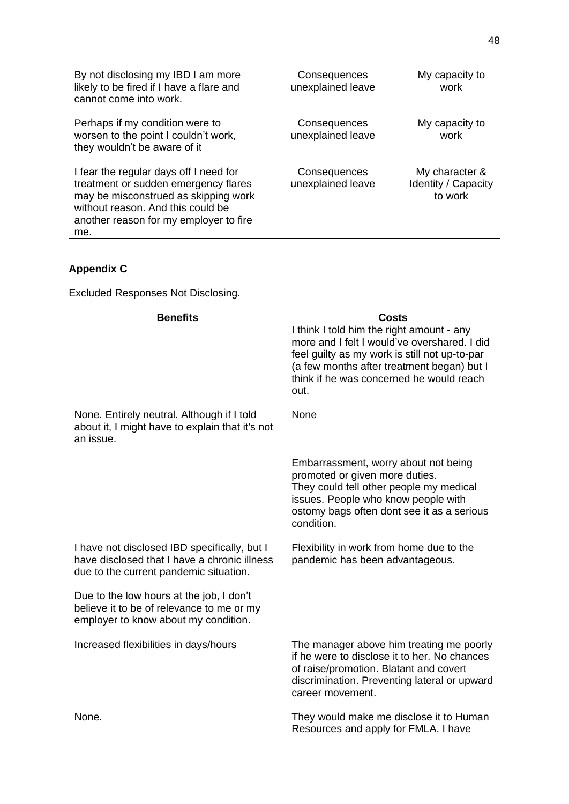| By not disclosing my IBD I am more<br>likely to be fired if I have a flare and<br>cannot come into work.                                                                                                     | Consequences<br>unexplained leave | My capacity to<br>work                           |
|--------------------------------------------------------------------------------------------------------------------------------------------------------------------------------------------------------------|-----------------------------------|--------------------------------------------------|
| Perhaps if my condition were to<br>worsen to the point I couldn't work,<br>they wouldn't be aware of it                                                                                                      | Consequences<br>unexplained leave | My capacity to<br>work                           |
| I fear the regular days off I need for<br>treatment or sudden emergency flares<br>may be misconstrued as skipping work<br>without reason. And this could be<br>another reason for my employer to fire<br>me. | Consequences<br>unexplained leave | My character &<br>Identity / Capacity<br>to work |

# **Appendix C**

Excluded Responses Not Disclosing.

| <b>Benefits</b>                                                                                                                        | <b>Costs</b>                                                                                                                                                                                                                                 |
|----------------------------------------------------------------------------------------------------------------------------------------|----------------------------------------------------------------------------------------------------------------------------------------------------------------------------------------------------------------------------------------------|
|                                                                                                                                        | I think I told him the right amount - any<br>more and I felt I would've overshared. I did<br>feel guilty as my work is still not up-to-par<br>(a few months after treatment began) but I<br>think if he was concerned he would reach<br>out. |
| None. Entirely neutral. Although if I told<br>about it, I might have to explain that it's not<br>an issue.                             | None                                                                                                                                                                                                                                         |
|                                                                                                                                        | Embarrassment, worry about not being<br>promoted or given more duties.<br>They could tell other people my medical<br>issues. People who know people with<br>ostomy bags often dont see it as a serious<br>condition.                         |
| I have not disclosed IBD specifically, but I<br>have disclosed that I have a chronic illness<br>due to the current pandemic situation. | Flexibility in work from home due to the<br>pandemic has been advantageous.                                                                                                                                                                  |
| Due to the low hours at the job, I don't<br>believe it to be of relevance to me or my<br>employer to know about my condition.          |                                                                                                                                                                                                                                              |
| Increased flexibilities in days/hours                                                                                                  | The manager above him treating me poorly<br>if he were to disclose it to her. No chances<br>of raise/promotion. Blatant and covert<br>discrimination. Preventing lateral or upward<br>career movement.                                       |
| None.                                                                                                                                  | They would make me disclose it to Human<br>Resources and apply for FMLA. I have                                                                                                                                                              |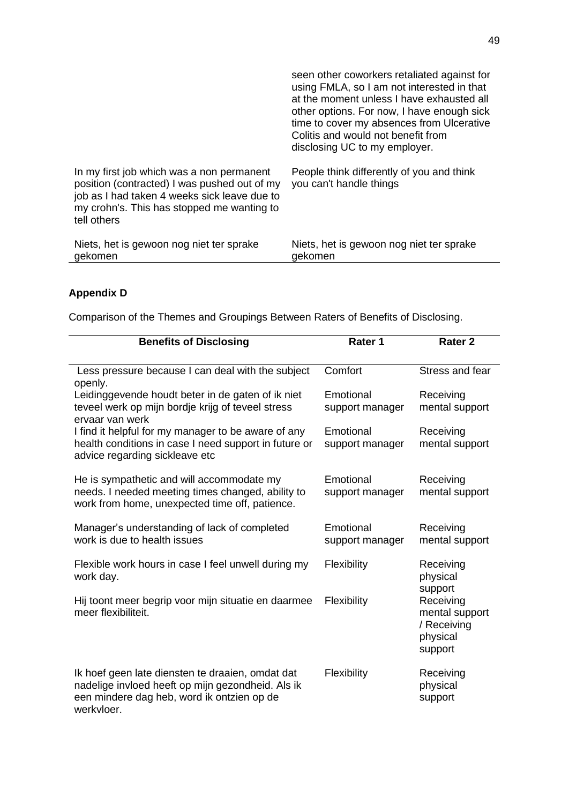|                                                                                                                                                                                                        | seen other coworkers retaliated against for<br>using FMLA, so I am not interested in that<br>at the moment unless I have exhausted all<br>other options. For now, I have enough sick<br>time to cover my absences from Ulcerative<br>Colitis and would not benefit from<br>disclosing UC to my employer. |
|--------------------------------------------------------------------------------------------------------------------------------------------------------------------------------------------------------|----------------------------------------------------------------------------------------------------------------------------------------------------------------------------------------------------------------------------------------------------------------------------------------------------------|
| In my first job which was a non permanent<br>position (contracted) I was pushed out of my<br>job as I had taken 4 weeks sick leave due to<br>my crohn's. This has stopped me wanting to<br>tell others | People think differently of you and think<br>you can't handle things                                                                                                                                                                                                                                     |
| Niets, het is gewoon nog niet ter sprake<br>gekomen                                                                                                                                                    | Niets, het is gewoon nog niet ter sprake<br>gekomen                                                                                                                                                                                                                                                      |

# **Appendix D**

Comparison of the Themes and Groupings Between Raters of Benefits of Disclosing.

| <b>Benefits of Disclosing</b>                                                                                                                                     | Rater 1                      | Rater <sub>2</sub>                                                           |
|-------------------------------------------------------------------------------------------------------------------------------------------------------------------|------------------------------|------------------------------------------------------------------------------|
| Less pressure because I can deal with the subject<br>openly.                                                                                                      | Comfort                      | Stress and fear                                                              |
| Leidinggevende houdt beter in de gaten of ik niet<br>teveel werk op mijn bordje krijg of teveel stress<br>ervaar van werk                                         | Emotional<br>support manager | Receiving<br>mental support                                                  |
| I find it helpful for my manager to be aware of any<br>health conditions in case I need support in future or<br>advice regarding sickleave etc                    | Emotional<br>support manager | Receiving<br>mental support                                                  |
| He is sympathetic and will accommodate my<br>needs. I needed meeting times changed, ability to<br>work from home, unexpected time off, patience.                  | Emotional<br>support manager | Receiving<br>mental support                                                  |
| Manager's understanding of lack of completed<br>work is due to health issues                                                                                      | Emotional<br>support manager | Receiving<br>mental support                                                  |
| Flexible work hours in case I feel unwell during my<br>work day.                                                                                                  | Flexibility                  | Receiving<br>physical                                                        |
| Hij toont meer begrip voor mijn situatie en daarmee<br>meer flexibiliteit.                                                                                        | Flexibility                  | support<br>Receiving<br>mental support<br>/ Receiving<br>physical<br>support |
| Ik hoef geen late diensten te draaien, omdat dat<br>nadelige invloed heeft op mijn gezondheid. Als ik<br>een mindere dag heb, word ik ontzien op de<br>werkvloer. | Flexibility                  | Receiving<br>physical<br>support                                             |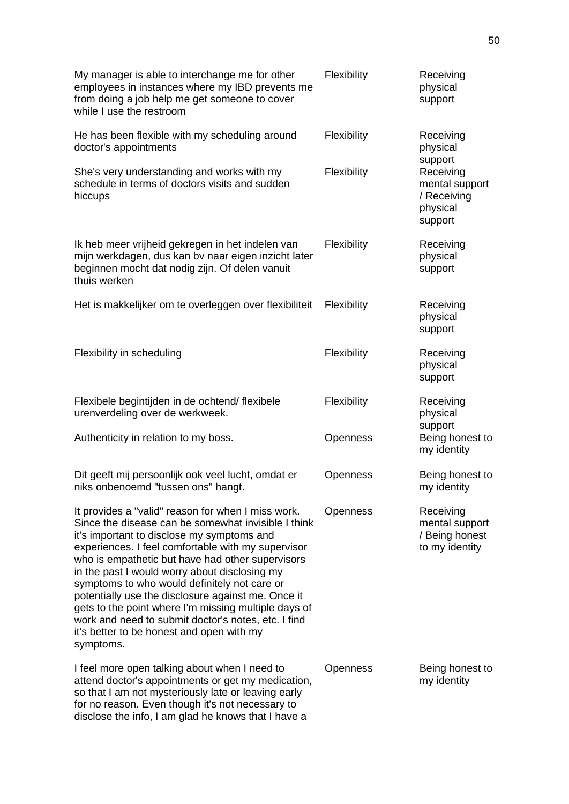| My manager is able to interchange me for other<br>employees in instances where my IBD prevents me<br>from doing a job help me get someone to cover<br>while I use the restroom                                                                                                                                                                                                                                                                                                                                                                                                                    | Flexibility     | Receiving<br>physical<br>support                                             |
|---------------------------------------------------------------------------------------------------------------------------------------------------------------------------------------------------------------------------------------------------------------------------------------------------------------------------------------------------------------------------------------------------------------------------------------------------------------------------------------------------------------------------------------------------------------------------------------------------|-----------------|------------------------------------------------------------------------------|
| He has been flexible with my scheduling around<br>doctor's appointments                                                                                                                                                                                                                                                                                                                                                                                                                                                                                                                           | Flexibility     | Receiving<br>physical                                                        |
| She's very understanding and works with my<br>schedule in terms of doctors visits and sudden<br>hiccups                                                                                                                                                                                                                                                                                                                                                                                                                                                                                           | Flexibility     | support<br>Receiving<br>mental support<br>/ Receiving<br>physical<br>support |
| Ik heb meer vrijheid gekregen in het indelen van<br>mijn werkdagen, dus kan bv naar eigen inzicht later<br>beginnen mocht dat nodig zijn. Of delen vanuit<br>thuis werken                                                                                                                                                                                                                                                                                                                                                                                                                         | Flexibility     | Receiving<br>physical<br>support                                             |
| Het is makkelijker om te overleggen over flexibiliteit                                                                                                                                                                                                                                                                                                                                                                                                                                                                                                                                            | Flexibility     | Receiving<br>physical<br>support                                             |
| Flexibility in scheduling                                                                                                                                                                                                                                                                                                                                                                                                                                                                                                                                                                         | Flexibility     | Receiving<br>physical<br>support                                             |
| Flexibele begintijden in de ochtend/flexibele<br>urenverdeling over de werkweek.                                                                                                                                                                                                                                                                                                                                                                                                                                                                                                                  | Flexibility     | Receiving<br>physical                                                        |
| Authenticity in relation to my boss.                                                                                                                                                                                                                                                                                                                                                                                                                                                                                                                                                              | Openness        | support<br>Being honest to<br>my identity                                    |
| Dit geeft mij persoonlijk ook veel lucht, omdat er<br>niks onbenoemd "tussen ons" hangt.                                                                                                                                                                                                                                                                                                                                                                                                                                                                                                          | Openness        | Being honest to<br>my identity                                               |
| It provides a "valid" reason for when I miss work.<br>Since the disease can be somewhat invisible I think<br>it's important to disclose my symptoms and<br>experiences. I feel comfortable with my supervisor<br>who is empathetic but have had other supervisors<br>in the past I would worry about disclosing my<br>symptoms to who would definitely not care or<br>potentially use the disclosure against me. Once it<br>gets to the point where I'm missing multiple days of<br>work and need to submit doctor's notes, etc. I find<br>it's better to be honest and open with my<br>symptoms. | Openness        | Receiving<br>mental support<br>/ Being honest<br>to my identity              |
| I feel more open talking about when I need to<br>attend doctor's appointments or get my medication,<br>so that I am not mysteriously late or leaving early<br>for no reason. Even though it's not necessary to<br>disclose the info, I am glad he knows that I have a                                                                                                                                                                                                                                                                                                                             | <b>Openness</b> | Being honest to<br>my identity                                               |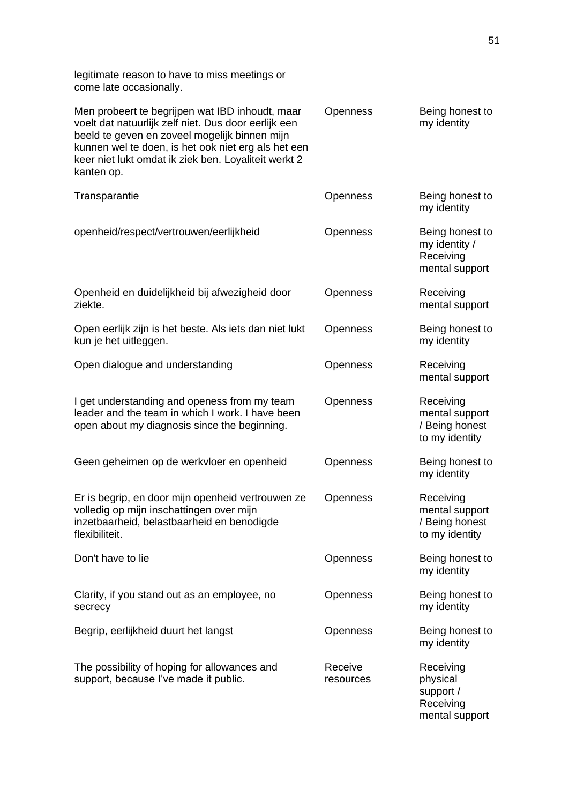legitimate reason to have to miss meetings or come late occasionally.

| Men probeert te begrijpen wat IBD inhoudt, maar<br>voelt dat natuurlijk zelf niet. Dus door eerlijk een<br>beeld te geven en zoveel mogelijk binnen mijn<br>kunnen wel te doen, is het ook niet erg als het een<br>keer niet lukt omdat ik ziek ben. Loyaliteit werkt 2<br>kanten op. | Openness             | Being honest to<br>my identity                                    |
|---------------------------------------------------------------------------------------------------------------------------------------------------------------------------------------------------------------------------------------------------------------------------------------|----------------------|-------------------------------------------------------------------|
| Transparantie                                                                                                                                                                                                                                                                         | <b>Openness</b>      | Being honest to<br>my identity                                    |
| openheid/respect/vertrouwen/eerlijkheid                                                                                                                                                                                                                                               | Openness             | Being honest to<br>my identity /<br>Receiving<br>mental support   |
| Openheid en duidelijkheid bij afwezigheid door<br>ziekte.                                                                                                                                                                                                                             | Openness             | Receiving<br>mental support                                       |
| Open eerlijk zijn is het beste. Als iets dan niet lukt<br>kun je het uitleggen.                                                                                                                                                                                                       | Openness             | Being honest to<br>my identity                                    |
| Open dialogue and understanding                                                                                                                                                                                                                                                       | Openness             | Receiving<br>mental support                                       |
| I get understanding and openess from my team<br>leader and the team in which I work. I have been<br>open about my diagnosis since the beginning.                                                                                                                                      | Openness             | Receiving<br>mental support<br>/ Being honest<br>to my identity   |
| Geen geheimen op de werkvloer en openheid                                                                                                                                                                                                                                             | Openness             | Being honest to<br>my identity                                    |
| Er is begrip, en door mijn openheid vertrouwen ze<br>volledig op mijn inschattingen over mijn<br>inzetbaarheid, belastbaarheid en benodigde<br>flexibiliteit.                                                                                                                         | <b>Openness</b>      | Receiving<br>mental support<br>/ Being honest<br>to my identity   |
| Don't have to lie                                                                                                                                                                                                                                                                     | <b>Openness</b>      | Being honest to<br>my identity                                    |
| Clarity, if you stand out as an employee, no<br>secrecy                                                                                                                                                                                                                               | <b>Openness</b>      | Being honest to<br>my identity                                    |
| Begrip, eerlijkheid duurt het langst                                                                                                                                                                                                                                                  | <b>Openness</b>      | Being honest to<br>my identity                                    |
| The possibility of hoping for allowances and<br>support, because I've made it public.                                                                                                                                                                                                 | Receive<br>resources | Receiving<br>physical<br>support /<br>Receiving<br>mental support |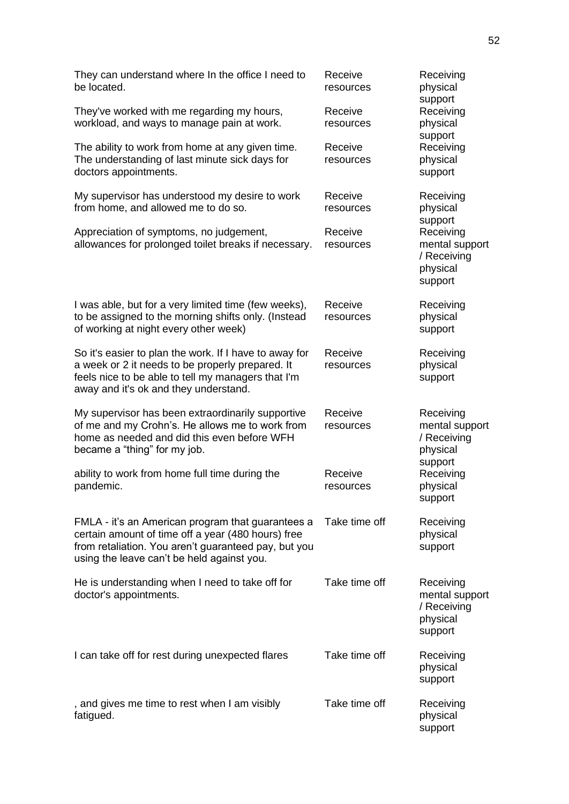| They can understand where In the office I need to<br>be located.                                                                                                                                              | Receive<br>resources | Receiving<br>physical<br>support                                             |
|---------------------------------------------------------------------------------------------------------------------------------------------------------------------------------------------------------------|----------------------|------------------------------------------------------------------------------|
| They've worked with me regarding my hours,<br>workload, and ways to manage pain at work.                                                                                                                      | Receive<br>resources | Receiving<br>physical<br>support                                             |
| The ability to work from home at any given time.<br>The understanding of last minute sick days for<br>doctors appointments.                                                                                   | Receive<br>resources | Receiving<br>physical<br>support                                             |
| My supervisor has understood my desire to work<br>from home, and allowed me to do so.                                                                                                                         | Receive<br>resources | Receiving<br>physical                                                        |
| Appreciation of symptoms, no judgement,<br>allowances for prolonged toilet breaks if necessary.                                                                                                               | Receive<br>resources | support<br>Receiving<br>mental support<br>/ Receiving<br>physical<br>support |
| I was able, but for a very limited time (few weeks),<br>to be assigned to the morning shifts only. (Instead<br>of working at night every other week)                                                          | Receive<br>resources | Receiving<br>physical<br>support                                             |
| So it's easier to plan the work. If I have to away for<br>a week or 2 it needs to be properly prepared. It<br>feels nice to be able to tell my managers that I'm<br>away and it's ok and they understand.     | Receive<br>resources | Receiving<br>physical<br>support                                             |
| My supervisor has been extraordinarily supportive<br>of me and my Crohn's. He allows me to work from<br>home as needed and did this even before WFH<br>became a "thing" for my job.                           | Receive<br>resources | Receiving<br>mental support<br>/ Receiving<br>physical<br>support            |
| ability to work from home full time during the<br>pandemic.                                                                                                                                                   | Receive<br>resources | Receiving<br>physical<br>support                                             |
| FMLA - it's an American program that guarantees a<br>certain amount of time off a year (480 hours) free<br>from retaliation. You aren't guaranteed pay, but you<br>using the leave can't be held against you. | Take time off        | Receiving<br>physical<br>support                                             |
| He is understanding when I need to take off for<br>doctor's appointments.                                                                                                                                     | Take time off        | Receiving<br>mental support<br>/ Receiving<br>physical<br>support            |
| I can take off for rest during unexpected flares                                                                                                                                                              | Take time off        | Receiving<br>physical<br>support                                             |
| , and gives me time to rest when I am visibly<br>fatigued.                                                                                                                                                    | Take time off        | Receiving<br>physical<br>support                                             |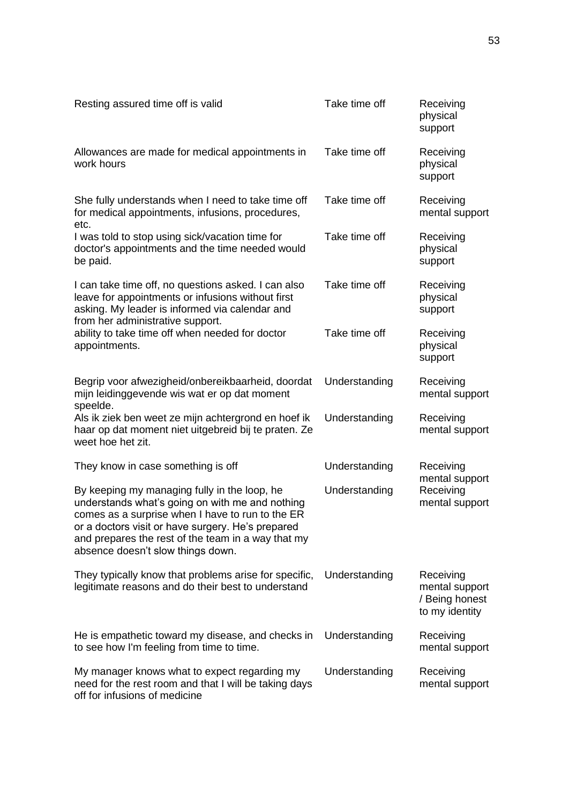| Resting assured time off is valid                                                                                                                                                                                                                                                                   | Take time off | Receiving<br>physical<br>support                                |
|-----------------------------------------------------------------------------------------------------------------------------------------------------------------------------------------------------------------------------------------------------------------------------------------------------|---------------|-----------------------------------------------------------------|
| Allowances are made for medical appointments in<br>work hours                                                                                                                                                                                                                                       | Take time off | Receiving<br>physical<br>support                                |
| She fully understands when I need to take time off<br>for medical appointments, infusions, procedures,<br>etc.                                                                                                                                                                                      | Take time off | Receiving<br>mental support                                     |
| I was told to stop using sick/vacation time for<br>doctor's appointments and the time needed would<br>be paid.                                                                                                                                                                                      | Take time off | Receiving<br>physical<br>support                                |
| I can take time off, no questions asked. I can also<br>leave for appointments or infusions without first<br>asking. My leader is informed via calendar and<br>from her administrative support.                                                                                                      | Take time off | Receiving<br>physical<br>support                                |
| ability to take time off when needed for doctor<br>appointments.                                                                                                                                                                                                                                    | Take time off | Receiving<br>physical<br>support                                |
| Begrip voor afwezigheid/onbereikbaarheid, doordat<br>mijn leidinggevende wis wat er op dat moment<br>speelde.                                                                                                                                                                                       | Understanding | Receiving<br>mental support                                     |
| Als ik ziek ben weet ze mijn achtergrond en hoef ik<br>haar op dat moment niet uitgebreid bij te praten. Ze<br>weet hoe het zit.                                                                                                                                                                    | Understanding | Receiving<br>mental support                                     |
| They know in case something is off                                                                                                                                                                                                                                                                  | Understanding | Receiving<br>mental support                                     |
| By keeping my managing fully in the loop, he<br>understands what's going on with me and nothing<br>comes as a surprise when I have to run to the ER<br>or a doctors visit or have surgery. He's prepared<br>and prepares the rest of the team in a way that my<br>absence doesn't slow things down. | Understanding | Receiving<br>mental support                                     |
| They typically know that problems arise for specific,<br>legitimate reasons and do their best to understand                                                                                                                                                                                         | Understanding | Receiving<br>mental support<br>/ Being honest<br>to my identity |
| He is empathetic toward my disease, and checks in<br>to see how I'm feeling from time to time.                                                                                                                                                                                                      | Understanding | Receiving<br>mental support                                     |
| My manager knows what to expect regarding my<br>need for the rest room and that I will be taking days<br>off for infusions of medicine                                                                                                                                                              | Understanding | Receiving<br>mental support                                     |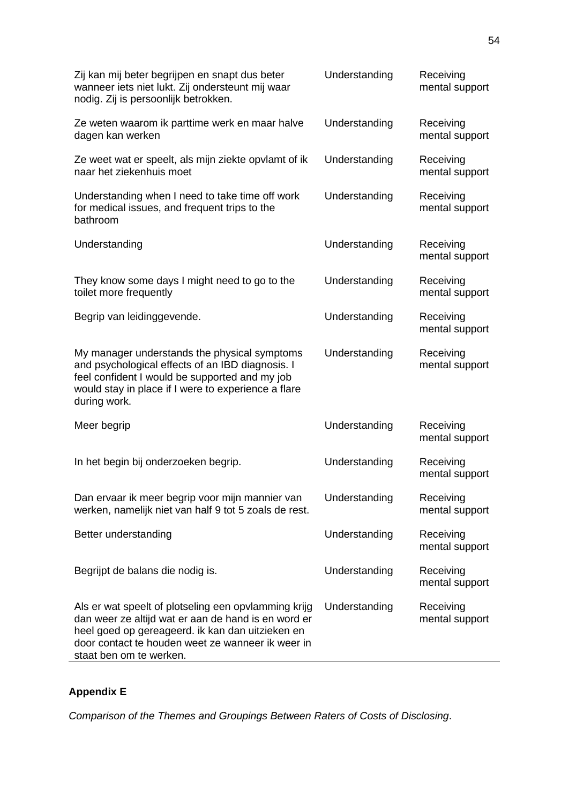| Zij kan mij beter begrijpen en snapt dus beter<br>wanneer iets niet lukt. Zij ondersteunt mij waar<br>nodig. Zij is persoonlijk betrokken.                                                                                                      | Understanding | Receiving<br>mental support |
|-------------------------------------------------------------------------------------------------------------------------------------------------------------------------------------------------------------------------------------------------|---------------|-----------------------------|
| Ze weten waarom ik parttime werk en maar halve<br>dagen kan werken                                                                                                                                                                              | Understanding | Receiving<br>mental support |
| Ze weet wat er speelt, als mijn ziekte opvlamt of ik<br>naar het ziekenhuis moet                                                                                                                                                                | Understanding | Receiving<br>mental support |
| Understanding when I need to take time off work<br>for medical issues, and frequent trips to the<br>bathroom                                                                                                                                    | Understanding | Receiving<br>mental support |
| Understanding                                                                                                                                                                                                                                   | Understanding | Receiving<br>mental support |
| They know some days I might need to go to the<br>toilet more frequently                                                                                                                                                                         | Understanding | Receiving<br>mental support |
| Begrip van leidinggevende.                                                                                                                                                                                                                      | Understanding | Receiving<br>mental support |
| My manager understands the physical symptoms<br>and psychological effects of an IBD diagnosis. I<br>feel confident I would be supported and my job<br>would stay in place if I were to experience a flare<br>during work.                       | Understanding | Receiving<br>mental support |
| Meer begrip                                                                                                                                                                                                                                     | Understanding | Receiving<br>mental support |
| In het begin bij onderzoeken begrip.                                                                                                                                                                                                            | Understanding | Receiving<br>mental support |
| Dan ervaar ik meer begrip voor mijn mannier van<br>werken, namelijk niet van half 9 tot 5 zoals de rest.                                                                                                                                        | Understanding | Receiving<br>mental support |
| Better understanding                                                                                                                                                                                                                            | Understanding | Receiving<br>mental support |
| Begrijpt de balans die nodig is.                                                                                                                                                                                                                | Understanding | Receiving<br>mental support |
| Als er wat speelt of plotseling een opvlamming krijg<br>dan weer ze altijd wat er aan de hand is en word er<br>heel goed op gereageerd. ik kan dan uitzieken en<br>door contact te houden weet ze wanneer ik weer in<br>staat ben om te werken. | Understanding | Receiving<br>mental support |

# **Appendix E**

*Comparison of the Themes and Groupings Between Raters of Costs of Disclosing*.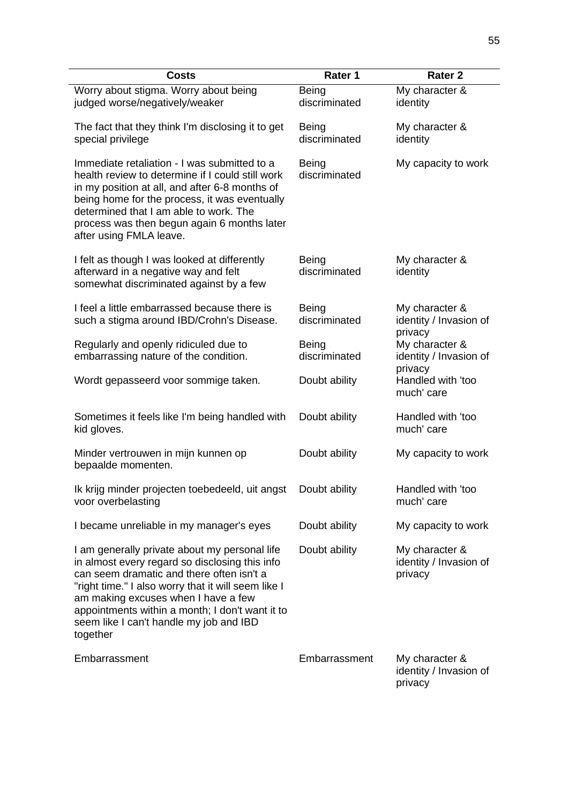| <b>Costs</b>                                                                                                                                                                                                                                                                                                                                         | Rater 1                       | <b>Rater 2</b>                                      |
|------------------------------------------------------------------------------------------------------------------------------------------------------------------------------------------------------------------------------------------------------------------------------------------------------------------------------------------------------|-------------------------------|-----------------------------------------------------|
| Worry about stigma. Worry about being<br>judged worse/negatively/weaker                                                                                                                                                                                                                                                                              | Being<br>discriminated        | My character &<br>identity                          |
| The fact that they think I'm disclosing it to get<br>special privilege                                                                                                                                                                                                                                                                               | <b>Being</b><br>discriminated | My character &<br>identity                          |
| Immediate retaliation - I was submitted to a<br>health review to determine if I could still work<br>in my position at all, and after 6-8 months of<br>being home for the process, it was eventually<br>determined that I am able to work. The<br>process was then begun again 6 months later<br>after using FMLA leave.                              | Being<br>discriminated        | My capacity to work                                 |
| I felt as though I was looked at differently<br>afterward in a negative way and felt<br>somewhat discriminated against by a few                                                                                                                                                                                                                      | Being<br>discriminated        | My character &<br>identity                          |
| I feel a little embarrassed because there is<br>such a stigma around IBD/Crohn's Disease.                                                                                                                                                                                                                                                            | Being<br>discriminated        | My character &<br>identity / Invasion of<br>privacy |
| Regularly and openly ridiculed due to<br>embarrassing nature of the condition.                                                                                                                                                                                                                                                                       | Being<br>discriminated        | My character &<br>identity / Invasion of<br>privacy |
| Wordt gepasseerd voor sommige taken.                                                                                                                                                                                                                                                                                                                 | Doubt ability                 | Handled with 'too<br>much' care                     |
| Sometimes it feels like I'm being handled with<br>kid gloves.                                                                                                                                                                                                                                                                                        | Doubt ability                 | Handled with 'too<br>much' care                     |
| Minder vertrouwen in mijn kunnen op<br>bepaalde momenten.                                                                                                                                                                                                                                                                                            | Doubt ability                 | My capacity to work                                 |
| Ik krijg minder projecten toebedeeld, uit angst<br>voor overbelasting                                                                                                                                                                                                                                                                                | Doubt ability                 | Handled with 'too<br>much' care                     |
| I became unreliable in my manager's eyes                                                                                                                                                                                                                                                                                                             | Doubt ability                 | My capacity to work                                 |
| I am generally private about my personal life<br>in almost every regard so disclosing this info<br>can seem dramatic and there often isn't a<br>"right time." I also worry that it will seem like I<br>am making excuses when I have a few<br>appointments within a month; I don't want it to<br>seem like I can't handle my job and IBD<br>together | Doubt ability                 | My character &<br>identity / Invasion of<br>privacy |
| Embarrassment                                                                                                                                                                                                                                                                                                                                        | Embarrassment                 | My character &<br>identity / Invasion of<br>privacy |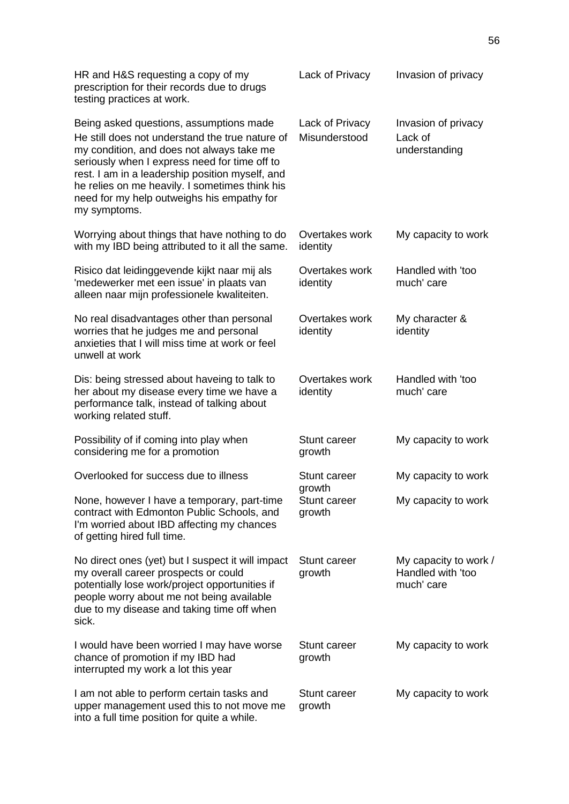| HR and H&S requesting a copy of my<br>prescription for their records due to drugs<br>testing practices at work.                                                                                                                                                                                                                                             | Lack of Privacy                         | Invasion of privacy                                      |
|-------------------------------------------------------------------------------------------------------------------------------------------------------------------------------------------------------------------------------------------------------------------------------------------------------------------------------------------------------------|-----------------------------------------|----------------------------------------------------------|
| Being asked questions, assumptions made<br>He still does not understand the true nature of<br>my condition, and does not always take me<br>seriously when I express need for time off to<br>rest. I am in a leadership position myself, and<br>he relies on me heavily. I sometimes think his<br>need for my help outweighs his empathy for<br>my symptoms. | Lack of Privacy<br>Misunderstood        | Invasion of privacy<br>Lack of<br>understanding          |
| Worrying about things that have nothing to do<br>with my IBD being attributed to it all the same.                                                                                                                                                                                                                                                           | Overtakes work<br>identity              | My capacity to work                                      |
| Risico dat leidinggevende kijkt naar mij als<br>'medewerker met een issue' in plaats van<br>alleen naar mijn professionele kwaliteiten.                                                                                                                                                                                                                     | Overtakes work<br>identity              | Handled with 'too<br>much' care                          |
| No real disadvantages other than personal<br>worries that he judges me and personal<br>anxieties that I will miss time at work or feel<br>unwell at work                                                                                                                                                                                                    | Overtakes work<br>identity              | My character &<br>identity                               |
| Dis: being stressed about haveing to talk to<br>her about my disease every time we have a<br>performance talk, instead of talking about<br>working related stuff.                                                                                                                                                                                           | Overtakes work<br>identity              | Handled with 'too<br>much' care                          |
| Possibility of if coming into play when<br>considering me for a promotion                                                                                                                                                                                                                                                                                   | <b>Stunt career</b><br>growth           | My capacity to work                                      |
| Overlooked for success due to illness                                                                                                                                                                                                                                                                                                                       | Stunt career                            | My capacity to work                                      |
| None, however I have a temporary, part-time<br>contract with Edmonton Public Schools, and<br>I'm worried about IBD affecting my chances<br>of getting hired full time.                                                                                                                                                                                      | growth<br><b>Stunt career</b><br>growth | My capacity to work                                      |
| No direct ones (yet) but I suspect it will impact<br>my overall career prospects or could<br>potentially lose work/project opportunities if<br>people worry about me not being available<br>due to my disease and taking time off when<br>sick.                                                                                                             | Stunt career<br>growth                  | My capacity to work /<br>Handled with 'too<br>much' care |
| I would have been worried I may have worse<br>chance of promotion if my IBD had<br>interrupted my work a lot this year                                                                                                                                                                                                                                      | <b>Stunt career</b><br>growth           | My capacity to work                                      |
| I am not able to perform certain tasks and<br>upper management used this to not move me<br>into a full time position for quite a while.                                                                                                                                                                                                                     | <b>Stunt career</b><br>growth           | My capacity to work                                      |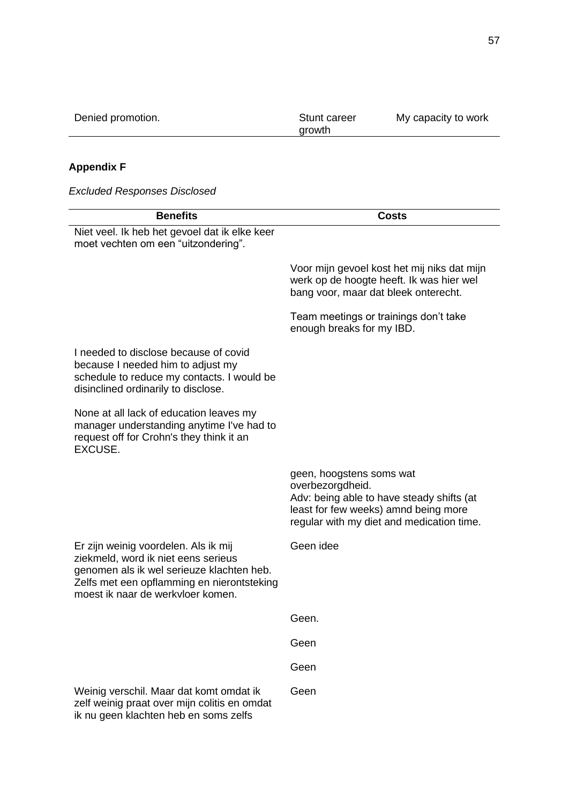| Denied promotion. | Stunt career<br>arowth | My capacity to work |
|-------------------|------------------------|---------------------|
|                   |                        |                     |

# **Appendix F**

*Excluded Responses Disclosed*

| <b>Benefits</b>                                                                                                                                                                                             | Costs                                                                                                                                                                          |
|-------------------------------------------------------------------------------------------------------------------------------------------------------------------------------------------------------------|--------------------------------------------------------------------------------------------------------------------------------------------------------------------------------|
| Niet veel. Ik heb het gevoel dat ik elke keer<br>moet vechten om een "uitzondering".                                                                                                                        |                                                                                                                                                                                |
|                                                                                                                                                                                                             | Voor mijn gevoel kost het mij niks dat mijn<br>werk op de hoogte heeft. Ik was hier wel<br>bang voor, maar dat bleek onterecht.                                                |
|                                                                                                                                                                                                             | Team meetings or trainings don't take<br>enough breaks for my IBD.                                                                                                             |
| I needed to disclose because of covid<br>because I needed him to adjust my<br>schedule to reduce my contacts. I would be<br>disinclined ordinarily to disclose.                                             |                                                                                                                                                                                |
| None at all lack of education leaves my<br>manager understanding anytime I've had to<br>request off for Crohn's they think it an<br>EXCUSE.                                                                 |                                                                                                                                                                                |
|                                                                                                                                                                                                             | geen, hoogstens soms wat<br>overbezorgdheid.<br>Adv: being able to have steady shifts (at<br>least for few weeks) amnd being more<br>regular with my diet and medication time. |
| Er zijn weinig voordelen. Als ik mij<br>ziekmeld, word ik niet eens serieus<br>genomen als ik wel serieuze klachten heb.<br>Zelfs met een opflamming en nierontsteking<br>moest ik naar de werkvloer komen. | Geen idee                                                                                                                                                                      |
|                                                                                                                                                                                                             | Geen.                                                                                                                                                                          |
|                                                                                                                                                                                                             | Geen                                                                                                                                                                           |
|                                                                                                                                                                                                             | Geen                                                                                                                                                                           |
| Weinig verschil. Maar dat komt omdat ik<br>zelf weinig praat over mijn colitis en omdat<br>ik nu geen klachten heb en soms zelfs                                                                            | Geen                                                                                                                                                                           |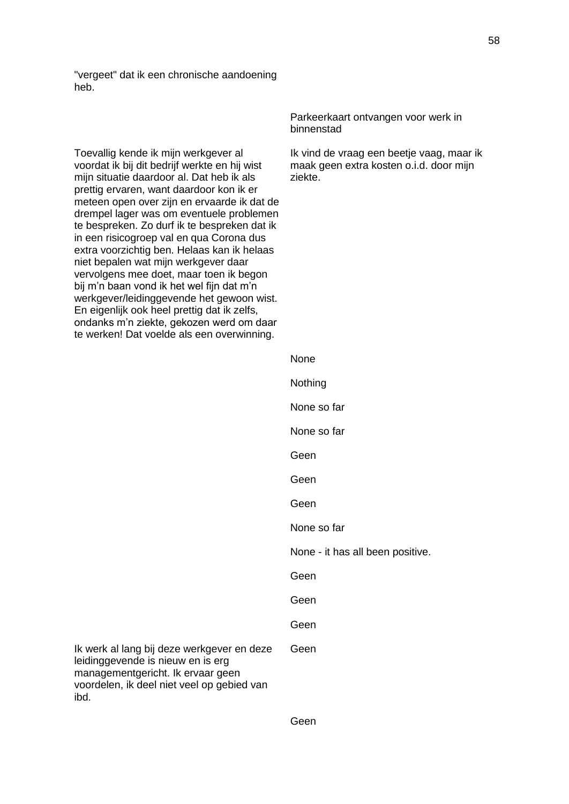"vergeet" dat ik een chronische aandoening heb.

Toevallig kende ik mijn werkgever al voordat ik bij dit bedrijf werkte en hij wist mijn situatie daardoor al. Dat heb ik als prettig ervaren, want daardoor kon ik er meteen open over zijn en ervaarde ik dat de drempel lager was om eventuele problemen te bespreken. Zo durf ik te bespreken dat ik in een risicogroep val en qua Corona dus extra voorzichtig ben. Helaas kan ik helaas niet bepalen wat mijn werkgever daar vervolgens mee doet, maar toen ik begon bij m'n baan vond ik het wel fijn dat m'n werkgever/leidinggevende het gewoon wist. En eigenlijk ook heel prettig dat ik zelfs, ondanks m'n ziekte, gekozen werd om daar te werken! Dat voelde als een overwinning.

leidinggevende is nieuw en is erg managementgericht. Ik ervaar geen

ibd.

Parkeerkaart ontvangen voor werk in binnenstad

Ik vind de vraag een beetje vaag, maar ik maak geen extra kosten o.i.d. door mijn ziekte.

None **Nothing** None so far None so far Geen Geen Geen None so far None - it has all been positive. Geen Geen Geen Ik werk al lang bij deze werkgever en deze voordelen, ik deel niet veel op gebied van Geen

Geen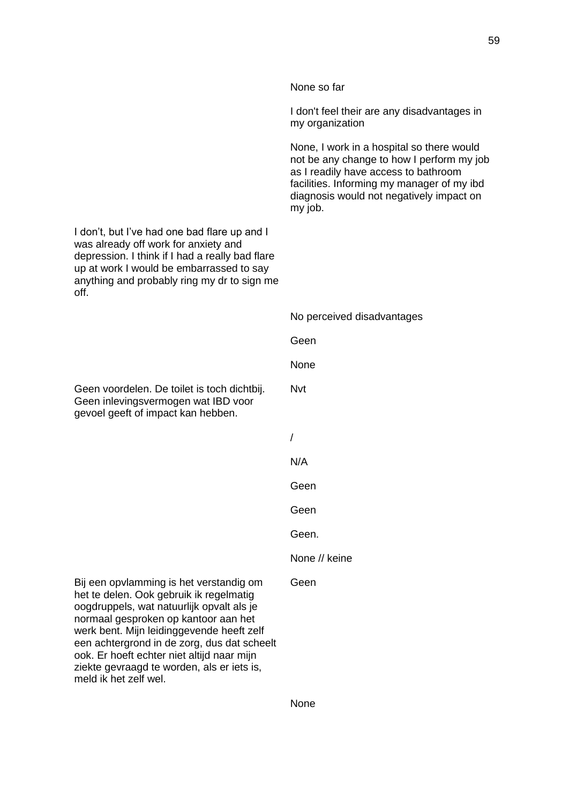|                                                                                                                                                                                                                                                                                                                                                                                          | None so far                                                                                                                                                                                                                         |
|------------------------------------------------------------------------------------------------------------------------------------------------------------------------------------------------------------------------------------------------------------------------------------------------------------------------------------------------------------------------------------------|-------------------------------------------------------------------------------------------------------------------------------------------------------------------------------------------------------------------------------------|
|                                                                                                                                                                                                                                                                                                                                                                                          | I don't feel their are any disadvantages in<br>my organization                                                                                                                                                                      |
|                                                                                                                                                                                                                                                                                                                                                                                          | None, I work in a hospital so there would<br>not be any change to how I perform my job<br>as I readily have access to bathroom<br>facilities. Informing my manager of my ibd<br>diagnosis would not negatively impact on<br>my job. |
| I don't, but I've had one bad flare up and I<br>was already off work for anxiety and<br>depression. I think if I had a really bad flare<br>up at work I would be embarrassed to say<br>anything and probably ring my dr to sign me<br>off.                                                                                                                                               |                                                                                                                                                                                                                                     |
|                                                                                                                                                                                                                                                                                                                                                                                          | No perceived disadvantages                                                                                                                                                                                                          |
|                                                                                                                                                                                                                                                                                                                                                                                          | Geen                                                                                                                                                                                                                                |
|                                                                                                                                                                                                                                                                                                                                                                                          | None                                                                                                                                                                                                                                |
| Geen voordelen. De toilet is toch dichtbij.<br>Geen inlevingsvermogen wat IBD voor<br>gevoel geeft of impact kan hebben.                                                                                                                                                                                                                                                                 | <b>Nvt</b>                                                                                                                                                                                                                          |
|                                                                                                                                                                                                                                                                                                                                                                                          | 1                                                                                                                                                                                                                                   |
|                                                                                                                                                                                                                                                                                                                                                                                          | N/A                                                                                                                                                                                                                                 |
|                                                                                                                                                                                                                                                                                                                                                                                          | Geen                                                                                                                                                                                                                                |
|                                                                                                                                                                                                                                                                                                                                                                                          | Geen                                                                                                                                                                                                                                |
|                                                                                                                                                                                                                                                                                                                                                                                          | Geen.                                                                                                                                                                                                                               |
|                                                                                                                                                                                                                                                                                                                                                                                          | None // keine                                                                                                                                                                                                                       |
| Bij een opvlamming is het verstandig om<br>het te delen. Ook gebruik ik regelmatig<br>oogdruppels, wat natuurlijk opvalt als je<br>normaal gesproken op kantoor aan het<br>werk bent. Mijn leidinggevende heeft zelf<br>een achtergrond in de zorg, dus dat scheelt<br>ook. Er hoeft echter niet altijd naar mijn<br>ziekte gevraagd te worden, als er iets is,<br>meld ik het zelf wel. | Geen                                                                                                                                                                                                                                |
|                                                                                                                                                                                                                                                                                                                                                                                          |                                                                                                                                                                                                                                     |

59

None